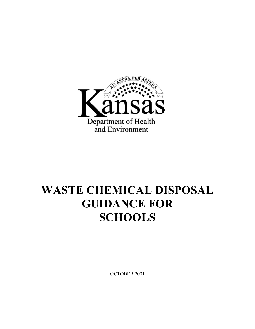

# **WASTE CHEMICAL DISPOSAL GUIDANCE FOR SCHOOLS**

OCTOBER 2001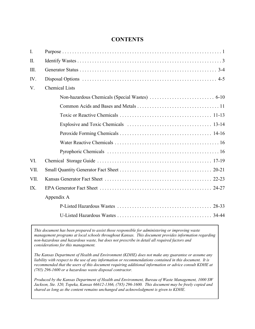# **CONTENTS**

| $\overline{I}$ . |                       |
|------------------|-----------------------|
| $\Pi$ .          |                       |
| III.             |                       |
| IV.              |                       |
| $V_{.}$          | <b>Chemical Lists</b> |
|                  |                       |
|                  |                       |
|                  |                       |
|                  |                       |
|                  |                       |
|                  |                       |
|                  |                       |
| VI.              |                       |
| VII.             |                       |
| VII.             |                       |
| IX               |                       |
|                  | Appendix A            |
|                  |                       |
|                  |                       |

*This document has been prepared to assist those responsible for administering or improving waste management programs at local schools throughout Kansas. This document provides information regarding non-hazardous and hazardous waste, but does not prescribe in detail all required factors and considerations for this management.*

*The Kansas Department of Health and Environment (KDHE) does not make any guarantee or assume any liability with respect to the use of any information or recommendations contained in this document. It is recommended that the users of this document requiring additional information or advice consult KDHE at (785) 296-1600 or a hazardous waste disposal contractor.*

*Produced by the Kansas Department of Health and Environment, Bureau of Waste Management, 1000 SW Jackson, Ste. 320, Topeka, Kansas 66612-1366, (785) 296-1600. This document may be freely copied and shared as long as the content remains unchanged and acknowledgment is given to KDHE.*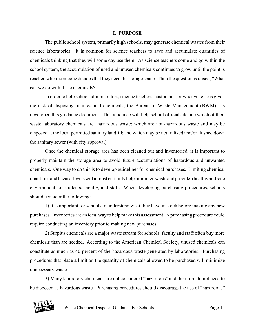#### **I. PURPOSE**

The public school system, primarily high schools, may generate chemical wastes from their science laboratories. It is common for science teachers to save and accumulate quantities of chemicals thinking that they will some day use them. As science teachers come and go within the school system, the accumulation of used and unused chemicals continues to grow until the point is reached where someone decides that they need the storage space. Then the question is raised, "What can we do with these chemicals?"

In order to help school administrators, science teachers, custodians, or whoever else is given the task of disposing of unwanted chemicals, the Bureau of Waste Management (BWM) has developed this guidance document. This guidance will help school officials decide which of their waste laboratory chemicals are hazardous waste; which are non-hazardous waste and may be disposed at the local permitted sanitary landfill; and which may be neutralized and/or flushed down the sanitary sewer (with city approval).

Once the chemical storage area has been cleaned out and inventoried, it is important to properly maintain the storage area to avoid future accumulations of hazardous and unwanted chemicals. One way to do this is to develop guidelines for chemical purchases. Limiting chemical quantities and hazard-levels will almost certainly help minimize waste and provide a healthy and safe environment for students, faculty, and staff. When developing purchasing procedures, schools should consider the following:

1) It is important for schools to understand what they have in stock before making any new purchases. Inventories are an ideal way to help make this assessment. A purchasing procedure could require conducting an inventory prior to making new purchases.

2) Surplus chemicals are a major waste stream for schools; faculty and staff often buy more chemicals than are needed. According to the American Chemical Society, unused chemicals can constitute as much as 40 percent of the hazardous waste generated by laboratories. Purchasing procedures that place a limit on the quantity of chemicals allowed to be purchased will minimize unnecessary waste.

3) Many laboratory chemicals are not considered "hazardous" and therefore do not need to be disposed as hazardous waste. Purchasing procedures should discourage the use of "hazardous"

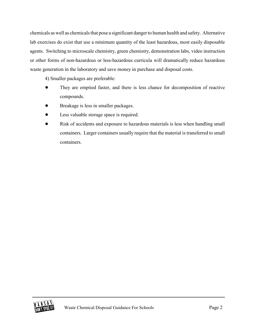chemicals as well as chemicals that pose a significant danger to human health and safety. Alternative lab exercises do exist that use a minimum quantity of the least hazardous, most easily disposable agents. Switching to microscale chemistry, green chemistry, demonstration labs, video instruction or other forms of non-hazardous or less-hazardous curricula will dramatically reduce hazardous waste generation in the laboratory and save money in purchase and disposal costs.

4) Smaller packages are preferable:

- They are emptied faster, and there is less chance for decomposition of reactive compounds.
- ! Breakage is less in smaller packages.
- Less valuable storage space is required.
- Risk of accidents and exposure to hazardous materials is less when handling small containers. Larger containers usually require that the material is transferred to small containers.

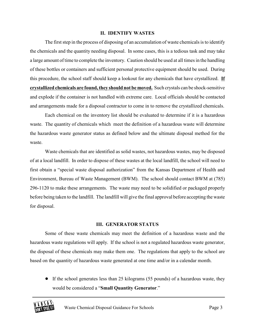#### **II. IDENTIFY WASTES**

The first step in the process of disposing of an accumulation of waste chemicals is to identify the chemicals and the quantity needing disposal. In some cases, this is a tedious task and may take a large amount of time to complete the inventory. Caution should be used at all times in the handling of these bottles or containers and sufficient personal protective equipment should be used. During this procedure, the school staff should keep a lookout for any chemicals that have crystallized. **If crystallized chemicals are found, they should not be moved.** Such crystals can be shock-sensitive and explode if the container is not handled with extreme care. Local officials should be contacted and arrangements made for a disposal contractor to come in to remove the crystallized chemicals.

Each chemical on the inventory list should be evaluated to determine if it is a hazardous waste. The quantity of chemicals which meet the definition of a hazardous waste will determine the hazardous waste generator status as defined below and the ultimate disposal method for the waste.

Waste chemicals that are identified as solid wastes, not hazardous wastes, may be disposed of at a local landfill. In order to dispose of these wastes at the local landfill, the school will need to first obtain a "special waste disposal authorization" from the Kansas Department of Health and Environment, Bureau of Waste Management (BWM). The school should contact BWM at (785) 296-1120 to make these arrangements. The waste may need to be solidified or packaged properly before being taken to the landfill. The landfill will give the final approval before accepting the waste for disposal.

#### **III. GENERATOR STATUS**

Some of these waste chemicals may meet the definition of a hazardous waste and the hazardous waste regulations will apply. If the school is not a regulated hazardous waste generator, the disposal of these chemicals may make them one. The regulations that apply to the school are based on the quantity of hazardous waste generated at one time and/or in a calendar month.

• If the school generates less than 25 kilograms (55 pounds) of a hazardous waste, they would be considered a "**Small Quantity Generator**."

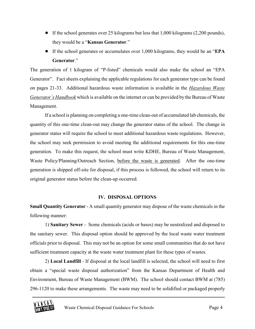- ! If the school generates over 25 kilograms but less that 1,000 kilograms (2,200 pounds), they would be a "**Kansas Generator**."
- ! If the school generates or accumulates over 1,000 kilograms, they would be an "**EPA Generator**."

The generation of 1 kilogram of "P-listed" chemicals would also make the school an "EPA Generator". Fact sheets explaining the applicable regulations for each generator type can be found on pages 21-33. Additional hazardous waste information is available in the *Hazardous Waste Generator's Handbook* which is available on the internet or can be provided by the Bureau of Waste Management.

If a school is planning on completing a one-time clean-out of accumulated lab chemicals, the quantity of this one-time clean-out may change the generator status of the school. The change in generator status will require the school to meet additional hazardous waste regulations. However, the school may seek permission to avoid meeting the additional requirements for this one-time generation. To make this request, the school must write KDHE, Bureau of Waste Management, Waste Policy/Planning/Outreach Section, before the waste is generated. After the one-time generation is shipped off-site for disposal, if this process is followed, the school will return to its original generator status before the clean-up occurred.

#### **IV. DISPOSAL OPTIONS**

**Small Quantity Generator** - A small quantity generator may dispose of the waste chemicals in the following manner:

1) **Sanitary Sewer** - Some chemicals (acids or bases) may be neutralized and disposed to the sanitary sewer. This disposal option should be approved by the local waste water treatment officials prior to disposal. This may not be an option for some small communities that do not have sufficient treatment capacity at the waste water treatment plant for these types of wastes.

2) **Local Landfill** - If disposal at the local landfill is selected, the school will need to first obtain a "special waste disposal authorization" from the Kansas Department of Health and Environment, Bureau of Waste Management (BWM). The school should contact BWM at (785) 296-1120 to make these arrangements. The waste may need to be solidified or packaged properly

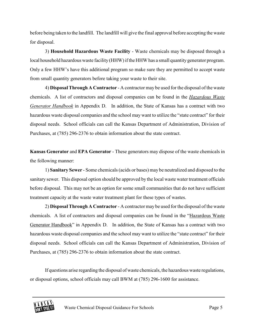before being taken to the landfill. The landfill will give the final approval before accepting the waste for disposal.

3) **Household Hazardous Waste Facility** - Waste chemicals may be disposed through a local household hazardous waste facility (HHW) if the HHW has a small quantity generator program. Only a few HHW's have this additional program so make sure they are permitted to accept waste from small quantity generators before taking your waste to their site.

4) **Disposal Through A Contractor** - A contractor may be used for the disposal of the waste chemicals. A list of contractors and disposal companies can be found in the *Hazardous Waste Generator Handbook* in Appendix D. In addition, the State of Kansas has a contract with two hazardous waste disposal companies and the school may want to utilize the "state contract" for their disposal needs. School officials can call the Kansas Department of Administration, Division of Purchases, at (785) 296-2376 to obtain information about the state contract.

**Kansas Generator** and **EPA Generator** - These generators may dispose of the waste chemicals in the following manner:

1) **Sanitary Sewer** - Some chemicals (acids or bases) may be neutralized and disposed to the sanitary sewer. This disposal option should be approved by the local waste water treatment officials before disposal. This may not be an option for some small communities that do not have sufficient treatment capacity at the waste water treatment plant for these types of wastes.

2) **Disposal Through A Contractor** - A contractor may be used for the disposal of the waste chemicals. A list of contractors and disposal companies can be found in the "Hazardous Waste Generator Handbook" in Appendix D. In addition, the State of Kansas has a contract with two hazardous waste disposal companies and the school may want to utilize the "state contract" for their disposal needs. School officials can call the Kansas Department of Administration, Division of Purchases, at (785) 296-2376 to obtain information about the state contract.

If questions arise regarding the disposal of waste chemicals, the hazardous waste regulations, or disposal options, school officials may call BWM at (785) 296-1600 for assistance.

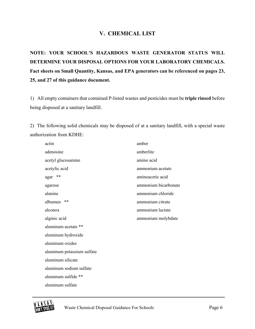# **V. CHEMICAL LIST**

**NOTE: YOUR SCHOOL'S HAZARDOUS WASTE GENERATOR STATUS WILL DETERMINE YOUR DISPOSAL OPTIONS FOR YOUR LABORATORY CHEMICALS. Fact sheets on Small Quantity, Kansas, and EPA generators can be referenced on pages 23, 25, and 27 of this guidance document.** 

1) All empty containers that contained P-listed wastes and pesticides must be **triple rinsed** before being disposed at a sanitary landfill.

2) The following solid chemicals may be disposed of at a sanitary landfill, with a special waste authorization from KDHE:

| actin                      | amber                |
|----------------------------|----------------------|
| adenosine                  | amberlite            |
| acetyl glucosamine         | amino acid           |
| acetylic acid              | ammonium acetate     |
| **<br>agar                 | aminoacetic acid     |
| agarose                    | ammonium bicarbonate |
| alanine                    | ammonium chloride    |
| **<br>albumen              | ammonium citrate     |
| alconox                    | ammonium lactate     |
| alginic acid               | ammonium molybdate   |
| aluminum acetate **        |                      |
| aluminum hydroxide         |                      |
| aluminum oxides            |                      |
| aluminum potassium sulfate |                      |
| aluminum silicate          |                      |
| aluminum sodium sulfate    |                      |
| aluminum sulfide **        |                      |
| aluminum sulfate           |                      |
|                            |                      |

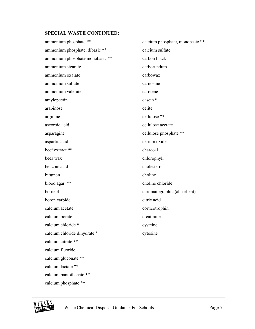ammonium phosphate \*\* ammonium phosphate, dibasic \*\* ammonium phosphate monobasic \*\* ammonium stearate ammonium oxalate ammonium sulfate ammonium valerate amylopectin arabinose arginine ascorbic acid asparagine aspartic acid beef extract \*\* bees wax benzoic acid bitumen blood agar \*\* borneol boron carbide calcium acetate calcium borate calcium chloride \* calcium chloride dihydrate \* calcium citrate \*\* calcium fluoride calcium gluconate \*\* calcium lactate \*\* calcium pantothenate \*\* calcium phosphate \*\* calcium phosphate, monobasic \*\* calcium sulfate carbon black carborundum carbowax carnosine carotene casein \* celite cellulose \*\* cellulose acetate cellulose phosphate \*\* cerium oxide charcoal chlorophyll cholesterol choline choline chloride chromatographic (absorbent) citric acid corticotrophin creatinine cysteine cytosine

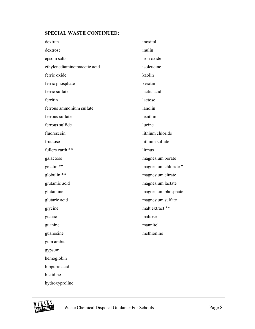| dextran                       | inositol             |
|-------------------------------|----------------------|
| dextrose                      | inulin               |
| epsom salts                   | iron oxide           |
| ethylenediaminetraacetic acid | isoleucine           |
| ferric oxide                  | kaolin               |
| ferric phosphate              | keratin              |
| ferric sulfate                | lactic acid          |
| ferritin                      | lactose              |
| ferrous ammonium sulfate      | lanolin              |
| ferrous sulfate               | lecithin             |
| ferrous sulfide               | lucine               |
| fluorescein                   | lithium chloride     |
| fructose                      | lithium sulfate      |
| fullers earth **              | litmus               |
| galactose                     | magnesium borate     |
| gelatin **                    | magnesium chloride * |
| globulin **                   | magnesium citrate    |
| glutamic acid                 | magnesium lactate    |
| glutamine                     | magnesium phosphate  |
| glutaric acid                 | magnesium sulfate    |
| glycine                       | malt extract **      |
| guaiac                        | maltose              |
| guanine                       | mannitol             |
| guanosine                     | methionine           |
| gum arabic                    |                      |
| gypsum                        |                      |
| hemoglobin                    |                      |
| hippuric acid                 |                      |
| histidine                     |                      |
| hydroxyproline                |                      |

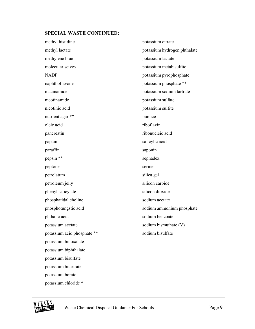| methyl histidine            | potassium citrate            |
|-----------------------------|------------------------------|
| methyl lactate              | potassium hydrogen phthalate |
| methylene blue              | potassium lactate            |
| molecular seives            | potassium metabisulfite      |
| <b>NADP</b>                 | potassium pyrophosphate      |
| naphthoflavone              | potassium phosphate **       |
| niacinamide                 | potassium sodium tartrate    |
| nicotinamide                | potassium sulfate            |
| nicotinic acid              | potassium sulfite            |
| nutrient agar **            | pumice                       |
| oleic acid                  | riboflavin                   |
| pancreatin                  | ribonucleic acid             |
| papain                      | salicylic acid               |
| paraffin                    | saponin                      |
| pepsin **                   | sephadex                     |
| peptone                     | serine                       |
| petrolatum                  | silica gel                   |
| petroleum jelly             | silicon carbide              |
| phenyl salicylate           | silicon dioxide              |
| phosphatidal choline        | sodium acetate               |
| phosphotungstic acid        | sodium ammonium phosphate    |
| phthalic acid               | sodium benzoate              |
| potassium acetate           | sodium bismuthate (V)        |
| potassium acid phosphate ** | sodium bisulfate             |
| potassium binoxalate        |                              |
| potassium biphthalate       |                              |
| potassium bisulfate         |                              |
| potassium bitartrate        |                              |
| potassium borate            |                              |
| potassium chloride *        |                              |

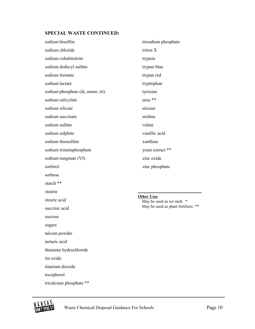| sodium bisulfite                 | trisodium phosphate                             |
|----------------------------------|-------------------------------------------------|
| sodium chloride                  | triton X                                        |
| sodium cobaltinitrite            | trypsin                                         |
| sodium dodecyl sulfate           | trypan blue                                     |
| sodium formate                   | trypan red                                      |
| sodium lactate                   | tryptophan                                      |
| sodium phosphate (di, mono, tri) | tyrosine                                        |
| sodium salicylate                | urea <sup>**</sup>                              |
| sodium silicate                  | uricase                                         |
| sodium succinate                 | uridine                                         |
| sodium sulfate                   | valine                                          |
| sodium sulphite                  | vanillic acid                                   |
| sodium thiosulfate               | xanthine                                        |
| sodium trimetaphosphate          | yeast extract **                                |
| sodium tungstate (VI)            | zinc oxide                                      |
| sorbitol                         | zinc phosphate                                  |
| sorbose                          |                                                 |
| starch **                        |                                                 |
| stearin                          |                                                 |
| stearic acid                     | <b>Other Uses</b><br>May be used as ice melt. * |
| succinic acid                    | May be used as plant fertilizer. **             |
| sucrose                          |                                                 |
| sugars                           |                                                 |
| talcum powder                    |                                                 |
|                                  |                                                 |

tartaric acid

thiamine hydrochloride

tin oxide

titanium dioxide

tocopherol

tricalcium phosphate \*\*

**KANSAS**<br>DONOCRONOL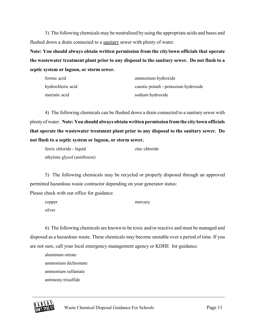3) The following chemicals may be neutralized by using the appropriate acids and bases and flushed down a drain connected to a sanitary sewer with plenty of water.

**Note: You should always obtain written permission from the city/town officials that operate the wastewater treatment plant prior to any disposal to the sanitary sewer. Do not flush to a septic system or lagoon, or storm sewer.** 

| formic acid       | ammonium hydroxide                   |
|-------------------|--------------------------------------|
| hydrochloric acid | caustic potash - potassium hydroxide |
| muriatic acid     | sodium hydroxide                     |

4) The following chemicals can be flushed down a drain connected to a sanitary sewer with plenty of water. **Note: You should always obtain written permission from the city/town officials that operate the wastewater treatment plant prior to any disposal to the sanitary sewer. Do not flush to a septic system or lagoon, or storm sewer.** 

| ferric chloride - liquid     | zinc chloride |
|------------------------------|---------------|
| ethylene glycol (antifreeze) |               |

5) The following chemicals may be recycled or properly disposed through an approved permitted hazardous waste contractor depending on your generator status: Please check with our office for guidance.

| copper | mercury |
|--------|---------|
| silver |         |

6) The following chemicals are known to be toxic and/or reactive and must be managed and disposed as a hazardous waste. These chemicals may become unstable over a period of time. If you are not sure, call your local emergency management agency or KDHE for guidance.

aluminum nitrate ammonium dichromate ammonium sulfamate antimony trisulfide

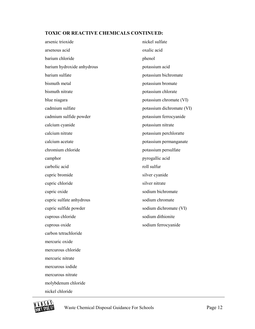# **TOXIC OR REACTIVE CHEMICALS CONTINUED:**

| arsenic trioxide           | nickel sulfate            |
|----------------------------|---------------------------|
| arsenous acid              | oxalic acid               |
| barium chloride            | phenol                    |
| barium hydroxide anhydrous | potassium acid            |
| barium sulfate             | potassium bichromate      |
| bismuth metal              | potassium bromate         |
| bismuth nitrate            | potassium chlorate        |
| blue niagara               | potassium chromate (VI)   |
| cadmium sulfate            | potassium dichromate (VI) |
| cadmium sulfide powder     | potassium ferrocyanide    |
| calcium cyanide            | potassium nitrate         |
| calcium nitrate            | potassium perchloratte    |
| calcium acetate            | potassium permanganate    |
| chromium chloride          | potassium persulfate      |
| camphor                    | pyrogallic acid           |
| carbolic acid              | roll sulfur               |
| cupric bromide             | silver cyanide            |
| cupric chloride            | silver nitrate            |
| cupric oxide               | sodium bichromate         |
| cupric sulfate anhydrous   | sodium chromate           |
| cupric sulfide powder      | sodium dichromate (VI)    |
| cuprous chloride           | sodium dithionite         |
| cuprous oxide              | sodium ferrocyanide       |
| carbon tetrachloride       |                           |
| mercuric oxide             |                           |
| mercurous chloride         |                           |
| mercuric nitrate           |                           |
| mercurous iodide           |                           |
| mercurous nitrate          |                           |
| molybdenum chloride        |                           |



**KANSAS**<br>DONOCRONIC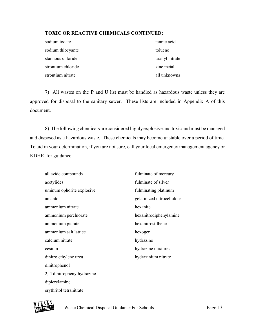#### **TOXIC OR REACTIVE CHEMICALS CONTINUED:**

| sodium iodate      | tannic acid    |
|--------------------|----------------|
| sodium thiocyante  | toluene        |
| stannous chloride  | uranyl nitrate |
| strontium chloride | zinc metal     |
| strontium nitrate  | all unknowns   |

7) All wastes on the **P** and **U** list must be handled as hazardous waste unless they are approved for disposal to the sanitary sewer. These lists are included in Appendix A of this document.

8) The following chemicals are considered highly explosive and toxic and must be managed and disposed as a hazardous waste. These chemicals may become unstable over a period of time. To aid in your determination, if you are not sure, call your local emergency management agency or KDHE for guidance.

| all azide compounds         | fulminate of mercury       |
|-----------------------------|----------------------------|
| acetylides                  | fulminate of silver        |
| uminum ophorite explosive   | fulminating platinum       |
| amantol                     | gelatinized nitrocellulose |
| ammonium nitrate            | hexanite                   |
| ammonium perchlorate        | hexanitrodiphenylamine     |
| ammonium picrate            | hexanitrostilbene          |
| ammonium salt lattice       | hexogen                    |
| calcium nitrate             | hydrazine                  |
| cesium                      | hydrazine mixtures         |
| dinitro ethylene urea       | hydrazinium nitrate        |
| dinitrophenol               |                            |
| 2, 4 dinitrophenylhydrazine |                            |
| dipicrylamine               |                            |
| erythritol tetranitrate     |                            |

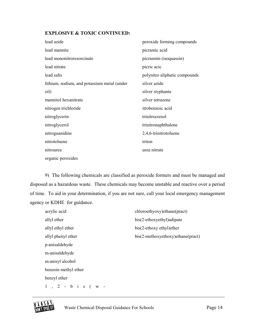#### **EXPLOSIVE & TOXIC CONTINUED:**

| lead azide                                  | peroxide forming compounds    |
|---------------------------------------------|-------------------------------|
| lead mannite                                | picramic acid                 |
| lead mononitroresorcinate                   | picrasmin (isoquassin)        |
| lead nitrate                                | picric acic                   |
| lead salts                                  | polynitro aliphatic compounds |
| lithium, sodium, and potassium metal (under | silver azide                  |
| oil)                                        | silver styphante              |
| mannitol hexanitrate                        | silver tetrazene              |
| nitrogen trichloride                        | itrobenzoic acid              |
| nitroglycerin                               | trinitrocresol                |
| nitroglycerol                               | trinitronaphthalene           |
| nitroguanidine                              | 2,4,6-trinitrotoluene         |
| nitrotoluene                                | triton                        |
| nitrourea                                   | urea nitrate                  |
| organic peroxides                           |                               |

9) The following chemicals are classified as peroxide formers and must be managed and disposed as a hazardous waste. These chemicals may become unstable and reactive over a period of time. To aid in your determination, if you are not sure, call your local emergency management agency or KDHE for guidance.

| acrylic acid         | chloroethyoxy)ethane(pract)       |
|----------------------|-----------------------------------|
| allyl ether          | bis(2-ethoxyethyl) adipate        |
| allyl ethyl ether    | bis(2-ethoxy ethyl) ether         |
| allyl phenyl ether   | bis(2-methoxyethoxy)ethane(pract) |
| p-anisaldehyde       |                                   |
| m-anisaldehyde       |                                   |
| m-anisyl alcohol     |                                   |
| benzoin methyl ether |                                   |
| benzyl ether         |                                   |
| $1$ , 2 - b i s (w - |                                   |

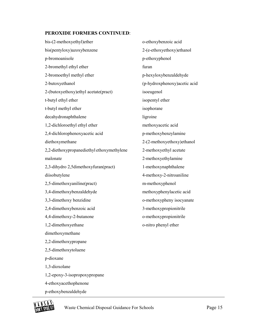#### **PEROXIDE FORMERS CONTINUED**:

bis-(2-methoxyethyl)ether bis(pentyloxy)azoxybenzene p-bromoanisole 2-bromethyl ethyl ether 2-bromoethyl methyl ether 2-butoxyethanol 2-(butoxyethoxy)ethyl acetate(pract) t-butyl ethyl ether t-butyl methyl ether decahydronaphthalene 1,2-dichloroethyl ethyl ether 2,4-dichlorophenoxyacetic acid diethoxymethane 2,2-diethoxypropanediethyl ethoxymethylene malonate 2,3-dihydro 2,5dimethoxyfuran(pract) diisobutylene 2,5-dimethoxyaniline(pract) 3,4-dimethoxybenzaldehyde 3,3-dimethoxy benzidine 2,4-dimethoxybenzoic acid 4,4-dimethoxy-2-butanone 1,2-dimethoxyethane dimethoxymethane 2,2-dimethoxypropane 2,5-dimethoxytoluene p-dioxane 1,3-dioxolane 1,2-epoxy-3-isopropoxypropane 4-ethoxyacethophenone p-ethoxybenzaldehyde o-ethoxybenzoic acid 2-(e-ethoxyethoxy)ethanol p-ethoxyphenol furan p-hexyloxybenzaldehyde (p-hydroxphenoxy)acetic acid isoeugenol isopentyl ether isophorane ligroine methoxyacetic acid p-methoxybenzylamine 2-(2-methoxyethoxy)ethanol 2-methoxyethyl acetate 2-methoxyethylamine 1-methoxynaphthalene 4-methoxy-2-nitroaniline m-methoxyphenol methoxyphenylacetic acid o-methoxypheny isocyanate 3-methoxypropionitrile o-methoxypropionitrile o-nitro phenyl ether

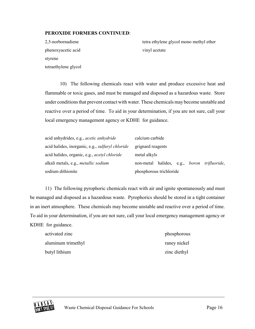#### **PEROXIDE FORMERS CONTINUED**:

2,5-norbornadiene phenoxyacetic acid styrene tetraethylene glycol tetra ethylene glycol mono methyl ether vinyl acetate

10) The following chemicals react with water and produce excessive heat and flammable or toxic gases, and must be managed and disposed as a hazardous waste. Store under conditions that prevent contact with water. These chemicals may become unstable and reactive over a period of time. To aid in your determination, if you are not sure, call your local emergency management agency or KDHE for guidance.

| acid anhydrides, e.g., <i>acetic anhydride</i>          | calcium carbide                                   |
|---------------------------------------------------------|---------------------------------------------------|
| acid halides, inorganic, e.g., <i>sulfuryl chloride</i> | grignard reagents                                 |
| acid halides, organic, e.g., <i>acetyl chloride</i>     | metal alkyls                                      |
| alkali metals, e.g., <i>metallic sodium</i>             | non-metal halides, e.g.,<br>boron<br>trifluoride, |
| sodium dithionite                                       | phosphorous trichloride                           |

11) The following pyrophoric chemicals react with air and ignite spontaneously and must be managed and disposed as a hazardous waste. Pyrophorics should be stored in a tight container in an inert atmosphere. These chemicals may become unstable and reactive over a period of time. To aid in your determination, if you are not sure, call your local emergency management agency or KDHE for guidance.

activated zinc phosphorous phosphorous aluminum trimethyl raney nickel butyl lithium zinc diethyl

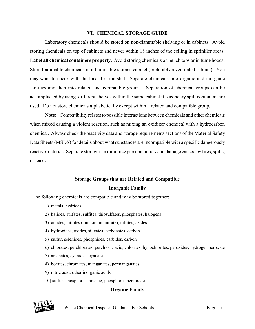#### **VI. CHEMICAL STORAGE GUIDE**

Laboratory chemicals should be stored on non-flammable shelving or in cabinets. Avoid storing chemicals on top of cabinets and never within 18 inches of the ceiling in sprinkler areas. **Label all chemical containers properly.** Avoid storing chemicals on bench tops or in fume hoods. Store flammable chemicals in a flammable storage cabinet (preferably a ventilated cabinet). You may want to check with the local fire marshal. Separate chemicals into organic and inorganic families and then into related and compatible groups. Separation of chemical groups can be accomplished by using different shelves within the same cabinet if secondary spill containers are used. Do not store chemicals alphabetically except within a related and compatible group.

**Note:** Compatibility relates to possible interactions between chemicals and other chemicals when mixed causing a violent reaction, such as mixing an oxidizer chemical with a hydrocarbon chemical. Always check the reactivity data and storage requirements sections of the Material Safety Data Sheets (MSDS) for details about what substances are incompatible with a specific dangerously reactive material. Separate storage can minimize personal injury and damage caused by fires, spills, or leaks.

# **Storage Groups that are Related and Compatible Inorganic Family**

The following chemicals are compatible and may be stored together:

- 1) metals, hydrides
- 2) halides, sulfates, sulfites, thiosulfates, phosphates, halogens
- 3) amides, nitrates (ammonium nitrate), nitrites, azides
- 4) hydroxides, oxides, silicates, carbonates, carbon
- 5) sulfur, selenides, phosphides, carbides, carbon
- 6) chlorates, perchlorates, perchloric acid, chlorites, hypochlorites, peroxides, hydrogen peroxide
- 7) arsenates, cyanides, cyanates
- 8) borates, chromates, manganates, permanganates
- 9) nitric acid, other inorganic acids
- 10) sulfur, phosphorus, arsenic, phosphorus pentoxide

#### **Organic Family**

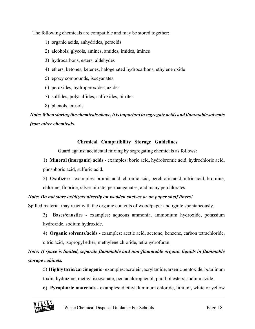The following chemicals are compatible and may be stored together:

- 1) organic acids, anhydrides, peracids
- 2) alcohols, glycols, amines, amides, imides, imines
- 3) hydrocarbons, esters, aldehydes
- 4) ethers, ketones, ketenes, halogenated hydrocarbons, ethylene oxide
- 5) epoxy compounds, isocyanates
- 6) peroxides, hydroperoxides, azides
- 7) sulfides, polysulfides, sulfoxides, nitrites
- 8) phenols, cresols

# *Note: When storing the chemicals above, it is important to segregate acids and flammable solvents from other chemicals.*

#### **Chemical Compatibility Storage Guidelines**

Guard against accidental mixing by segregating chemicals as follows:

1) **Mineral (inorganic) acids** - examples: boric acid, hydrobromic acid, hydrochloric acid, phosphoric acid, sulfuric acid.

2) **Oxidizers** - examples: bromic acid, chromic acid, perchloric acid, nitric acid, bromine, chlorine, fluorine, silver nitrate, permanganates, and many perchlorates.

#### *Note: Do not store oxidizers directly on wooden shelves or on paper shelf liners!*

Spilled material may react with the organic contents of wood/paper and ignite spontaneously.

3) **Bases/caustic**s - examples: aqueous ammonia, ammonium hydroxide, potassium hydroxide, sodium hydroxide.

4) **Organic solvents/acids** - examples: acetic acid, acetone, benzene, carbon tetrachloride, citric acid, isopropyl ether, methylene chloride, tetrahydrofuran.

*Note: If space is limited, separate flammable and non-flammable organic liquids in flammable storage cabinets.*

5) **Highly toxic/carcinogenic** - examples: acrolein, acrylamide, arsenic pentoxide, botulinum toxin, hydrazine, methyl isocyanate, pentachlorophenol, phorbol esters, sodium azide.

6) **Pyrophoric materials** - examples: diethylaluminum chloride, lithium, white or yellow

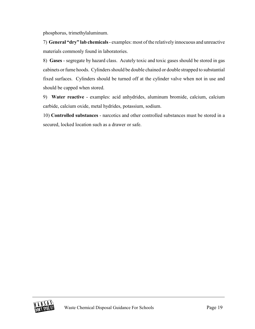phosphorus, trimethylaluminum.

7) **General "dry" lab chemicals** - examples: most of the relatively innocuous and unreactive materials commonly found in laboratories.

8) **Gases** - segregate by hazard class. Acutely toxic and toxic gases should be stored in gas cabinets or fume hoods. Cylinders should be double chained or double strapped to substantial fixed surfaces. Cylinders should be turned off at the cylinder valve when not in use and should be capped when stored.

9) **Water reactive** - examples: acid anhydrides, aluminum bromide, calcium, calcium carbide, calcium oxide, metal hydrides, potassium, sodium.

10) **Controlled substances** - narcotics and other controlled substances must be stored in a secured, locked location such as a drawer or safe.

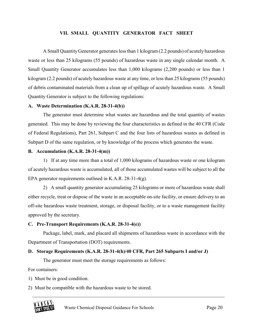#### **VII. SMALL QUANTITY GENERATOR FACT SHEET**

A Small Quantity Generator generates less than 1 kilogram (2.2 pounds) of acutely hazardous waste or less than 25 kilograms (55 pounds) of hazardous waste in any single calendar month. A Small Quantity Generator accumulates less than 1,000 kilograms (2,200 pounds) or less than 1 kilogram (2.2 pounds) of acutely hazardous waste at any time, or less than 25 kilograms (55 pounds) of debris contaminated materials from a clean up of spillage of acutely hazardous waste. A Small Quantity Generator is subject to the following regulations:

#### **A. Waste Determination (K.A.R. 28-31-4(b))**

The generator must determine what wastes are hazardous and the total quantity of wastes generated. This may be done by reviewing the four characteristics as defined in the 40 CFR (Code of Federal Regulations), Part 261, Subpart C and the four lists of hazardous wastes as defined in Subpart D of the same regulation, or by knowledge of the process which generates the waste.

#### **B. Accumulation (K.A.R. 28-31-4(m))**

1) If at any time more than a total of 1,000 kilograms of hazardous waste or one kilogram of acutely hazardous waste is accumulated, all of those accumulated wastes will be subject to all the EPA generator requirements outlined in K.A.R. 28-31-4(g).

2) A small quantity generator accumulating 25 kilograms or more of hazardous waste shall either recycle, treat or dispose of the waste in an acceptable on-site facility, or ensure delivery to an off-site hazardous waste treatment, storage, or disposal facility, or to a waste management facility approved by the secretary.

#### **C. Pre-Transport Requirements (K.A.R. 28-31-4(e))**

Package, label, mark, and placard all shipments of hazardous waste in accordance with the Department of Transportation (DOT) requirements.

#### **D. Storage Requirements (K.A.R. 28-31-4(h)/40 CFR, Part 265 Subparts I and/or J)**

The generator must meet the storage requirements as follows:

For containers:

1) Must be in good condition.

2) Must be compatible with the hazardous waste to be stored.

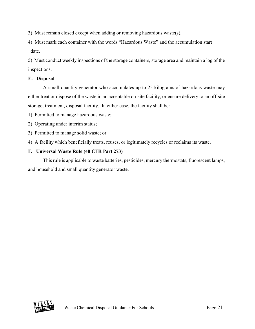3) Must remain closed except when adding or removing hazardous waste(s).

4) Must mark each container with the words "Hazardous Waste" and the accumulation start date.

5) Must conduct weekly inspections of the storage containers, storage area and maintain a log of the inspections.

### **E. Disposal**

A small quantity generator who accumulates up to 25 kilograms of hazardous waste may either treat or dispose of the waste in an acceptable on-site facility, or ensure delivery to an off-site storage, treatment, disposal facility. In either case, the facility shall be:

1) Permitted to manage hazardous waste;

- 2) Operating under interim status;
- 3) Permitted to manage solid waste; or
- 4) A facility which beneficially treats, reuses, or legitimately recycles or reclaims its waste.

### **F. Universal Waste Rule (40 CFR Part 273)**

This rule is applicable to waste batteries, pesticides, mercury thermostats, fluorescent lamps, and household and small quantity generator waste.

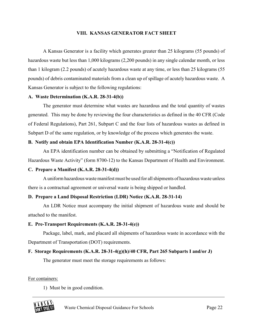#### **VIII. KANSAS GENERATOR FACT SHEET**

A Kansas Generator is a facility which generates greater than 25 kilograms (55 pounds) of hazardous waste but less than 1,000 kilograms (2,200 pounds) in any single calendar month, or less than 1 kilogram (2.2 pounds) of acutely hazardous waste at any time, or less than 25 kilograms (55 pounds) of debris contaminated materials from a clean up of spillage of acutely hazardous waste. A Kansas Generator is subject to the following regulations:

#### **A. Waste Determination (K.A.R. 28-31-4(b))**

The generator must determine what wastes are hazardous and the total quantity of wastes generated. This may be done by reviewing the four characteristics as defined in the 40 CFR (Code of Federal Regulations), Part 261, Subpart C and the four lists of hazardous wastes as defined in Subpart D of the same regulation, or by knowledge of the process which generates the waste.

#### **B. Notify and obtain EPA Identification Number (K.A.R. 28-31-4(c))**

An EPA identification number can be obtained by submitting a "Notification of Regulated Hazardous Waste Activity" (form 8700-12) to the Kansas Department of Health and Environment.

#### **C. Prepare a Manifest (K.A.R. 28-31-4(d))**

A uniform hazardous waste manifest must be used for all shipments of hazardous waste unless there is a contractual agreement or universal waste is being shipped or handled.

#### **D. Prepare a Land Disposal Restriction (LDR) Notice (K.A.R. 28-31-14)**

An LDR Notice must accompany the initial shipment of hazardous waste and should be attached to the manifest.

#### **E. Pre-Transport Requirements (K.A.R. 28-31-4(e))**

Package, label, mark, and placard all shipments of hazardous waste in accordance with the Department of Transportation (DOT) requirements.

#### **F. Storage Requirements (K.A.R. 28-31-4(g)(h)/40 CFR, Part 265 Subparts I and/or J)**

The generator must meet the storage requirements as follows:

For containers:

1) Must be in good condition.

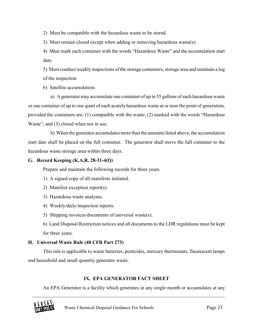2) Must be compatible with the hazardous waste to be stored.

3) Must remain closed except when adding or removing hazardous waste(s).

4) Must mark each container with the words "Hazardous Waste" and the accumulation start date.

5) Must conduct weekly inspections of the storage containers, storage area and maintain a log of the inspection.

6) Satellite accumulation:

a) A generator may accumulate one container of up to 55 gallons of each hazardous waste or one container of up to one quart of each acutely hazardous waste at or near the point of generation, provided the containers are: (1) compatible with the waste; (2) marked with the words "Hazardous Waste"; and (3) closed when not in use.

b) When the generator accumulates more than the amounts listed above, the accumulation start date shall be placed on the full container. The generator shall move the full container to the hazardous waste storage area within three days.

#### **G. Record Keeping (K.A.R. 28-31-4(f))**

Prepare and maintain the following records for three years.

- 1) A signed copy of all manifests initiated.
- 2) Manifest exception report(s).
- 3) Hazardous waste analyses.
- 4) Weekly/daily/inspection reports.
- 5) Shipping invoices/documents of universal waste(s).
- 6) Land Disposal Restriction notices and all documents to the LDR regulations must be kept for three years.

#### **H. Universal Waste Rule (40 CFR Part 273)**

This rule is applicable to waste batteries, pesticides, mercury thermostats, fluorescent lamps and household and small quantity generator waste.

## **IX. EPA GENERATOR FACT SHEET**

An EPA Generator is a facility which generates in any single month or accumulates at any

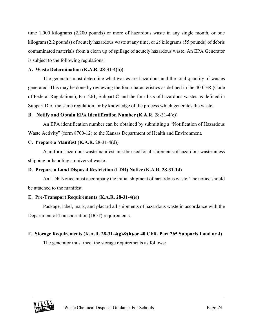time 1,000 kilograms (2,200 pounds) or more of hazardous waste in any single month, or one kilogram (2.2 pounds) of acutely hazardous waste at any time, or *25* kilograms (55 pounds) of debris contaminated materials from a clean up of spillage of acutely hazardous waste. An EPA Generator is subject to the following regulations:

#### **A. Waste Determination (K.A.R. 28-31-4(b))**

The generator must determine what wastes are hazardous and the total quantity of wastes generated. This may be done by reviewing the four characteristics as defined in the 40 CFR (Code of Federal Regulations), Part 261, Subpart C and the four lists of hazardous wastes as defined in Subpart D of the same regulation, or by knowledge of the process which generates the waste.

#### **B. Notify and Obtain EPA Identification Number** (**K.A.R**. 28-31-4(c))

An EPA identification number can be obtained by submitting a "Notification of Hazardous Waste Activity" (form 8700-12) to the Kansas Department of Health and Environment.

#### **C. Prepare a Manifest (K.A.R.** 28-31-4(d))

A uniform hazardous waste manifest must be used for all shipments of hazardous waste unless shipping or handling a universal waste.

#### **D. Prepare a Land Disposal Restriction (LDR) Notice (K.A.R. 28-31-14)**

An LDR Notice must accompany the initial shipment of hazardous waste. The notice should be attached to the manifest.

#### **E. Pre-Transport Requirements (K.A.R. 28-31-4(e))**

Package, label, mark, and placard all shipments of hazardous waste in accordance with the Department of Transportation (DOT) requirements.

#### **F. Storage Requirements (K.A.R. 28-31-4(g)&(h)/or 40 CFR, Part 265 Subparts I and or J)**

The generator must meet the storage requirements as follows:

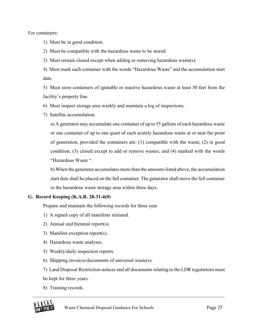For containers:

1) Must be in good condition.

2) Must be compatible with the hazardous waste to be stored.

3) Must remain closed except when adding or removing hazardous waste(s).

4) Must mark each container with the words "Hazardous Waste" and the accumulation start date.

5) Must store containers of ignitable or reactive hazardous waste at least 50 feet from the facility's property line.

6) Must inspect storage area weekly and maintain a log of inspections.

7) Satellite accumulation:

a) A generator may accumulate one container of up to 55 gallons of each hazardous waste or one container of up to one quart of each acutely hazardous waste at or near the point of generation, provided the containers are: (1) compatible with the waste; (2) in good condition; (3) closed except to add or remove wastes; and (4) marked with the words "Hazardous Waste ".

b) When the generator accumulates more than the amounts listed above, the accumulation start date shall be placed on the full container. The generator shall move the full container to the hazardous waste storage area within three days.

#### **G. Record Keeping (K.A.R. 28-31-4(0)**

Prepare and maintain the following records for three year

- 1) A signed copy of all manifests initiated.
- 2) Annual and biennial report(s).
- 3) Manifest exception report(s).
- 4) Hazardous waste analyses.
- 5) Weekly/daily inspection reports.
- 6) Shipping invoices/documents of universal waste(s).

7) Land Disposal Restriction notices and all documents relating to the LDR regulations must be kept for three years.

8) Training records.

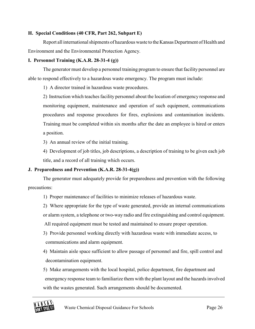#### **H. Special Conditions (40 CFR, Part 262, Subpart E)**

Report all international shipments of hazardous waste to the Kansas Department of Health and Environment and the Environmental Protection Agency.

#### **I. Personnel Training (K.A.R. 28-31-4 (g))**

The generator must develop a personnel training program to ensure that facility personnel are able to respond effectively to a hazardous waste emergency. The program must include:

1) A director trained in hazardous waste procedures.

2) Instruction which teaches facility personnel about the location of emergency response and monitoring equipment, maintenance and operation of such equipment, communications procedures and response procedures for fires, explosions and contamination incidents. Training must be completed within six months after the date an employee is hired or enters a position.

3) An annual review of the initial training.

4) Development of job titles, job descriptions, a description of training to be given each job title, and a record of all training which occurs.

#### **J. Preparedness and Prevention (K.A.R. 28-31-4(g))**

The generator must adequately provide for preparedness and prevention with the following precautions:

1) Proper maintenance of facilities to minimize releases of hazardous waste.

2) Where appropriate for the type of waste generated, provide an internal communications or alarm system, a telephone or two-way radio and fire extinguishing and control equipment.

All required equipment must be tested and maintained to ensure proper operation.

3) Provide personnel working directly with hazardous waste with immediate access, to communications and alarm equipment.

4) Maintain aisle space sufficient to allow passage of personnel and fire, spill control and decontamination equipment.

5) Make arrangements with the local hospital, police department, fire department and emergency response team to familiarize them with the plant layout and the hazards involved with the wastes generated. Such arrangements should be documented.

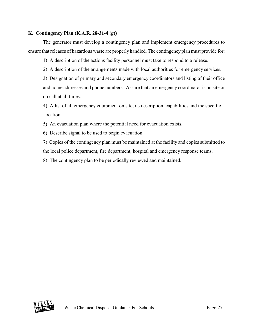#### **K. Contingency Plan (K.A.R. 28-31-4 (g))**

The generator must develop a contingency plan and implement emergency procedures to ensure that releases of hazardous waste are properly handled. The contingency plan must provide for:

1) A description of the actions facility personnel must take to respond to a release.

2) A description of the arrangements made with local authorities for emergency services.

3) Designation of primary and secondary emergency coordinators and listing of their office and home addresses and phone numbers. Assure that an emergency coordinator is on site or on call at all times.

4) A list of all emergency equipment on site, its description, capabilities and the specific location.

5) An evacuation plan where the potential need for evacuation exists.

6) Describe signal to be used to begin evacuation.

7) Copies of the contingency plan must be maintained at the facility and copies submitted to the local police department, fire department, hospital and emergency response teams.

8) The contingency plan to be periodically reviewed and maintained.

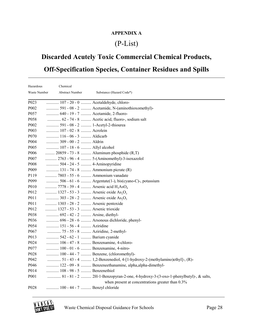# **APPENDIX A**

# (P-List)

# **Discarded Acutely Toxic Commercial Chemical Products,**

# **Off-Specification Species, Container Residues and Spills**

| Hazardous        | Chemical                                                    |                                                                                  |
|------------------|-------------------------------------------------------------|----------------------------------------------------------------------------------|
| Waste Number     | <b>Abstract Number</b>                                      | Substance (Hazard Code*)                                                         |
| P <sub>023</sub> | 107 - 20 - 0  Acetaldehyde, chloro-                         |                                                                                  |
| P002             |                                                             | 591 - 08 - 2  Acetamide, N-(aminothioxomethyl)-                                  |
| P057             | 640 - 19 - 7  Acetamide, 2-fluoro-                          |                                                                                  |
| P058             |                                                             | 62 - 74 - 8  Acetic acid, fluoro-, sodium salt                                   |
| P002             | 591 - 08 - 2  1-Acetyl-2-thiourea                           |                                                                                  |
| P003             | 107 - 02 - 8  Acrolein                                      |                                                                                  |
| P070             | 116 - 06 - 3  Aldicarb                                      |                                                                                  |
| P004             | 309 - 00 - 2  Aldrin                                        |                                                                                  |
| P005             | 107 - 18 - 6  Allyl alcohol                                 |                                                                                  |
| P006             |                                                             | 20859 - 73 - 8  Aluminum phosphide (R,T)                                         |
| P007             |                                                             | 2763 - 96 - 4  5-(Aminomethyl)-3-isoxazolol                                      |
| P008             | 504 - 24 - 5  4-Aminopyridine                               |                                                                                  |
| P009             | 131 - 74 - 8  Ammonium picrate (R)                          |                                                                                  |
| P119             | 7803 - 55 - 6  Ammonium vanadate                            |                                                                                  |
| P099             |                                                             | 506 - 61 - 6  Argentate(1-), bis(cyano-C)-, potassium                            |
| P010             | 7778 - 39 - 4  Arsenic acid H <sub>3</sub> AsO <sub>4</sub> |                                                                                  |
| P012             | 1327 - 53 - 3  Arsenic oxide $As_2O_3$                      |                                                                                  |
| P011             | 303 - 28 - 2  Arsenic oxide $As_2O_5$                       |                                                                                  |
| P011             | 1303 - 28 - 2  Arsenic pentoxide                            |                                                                                  |
| P012             | 1327 - 53 - 3  Arsenic trioxide                             |                                                                                  |
| P038             | 692 - 42 - 2  Arsine, diethyl-                              |                                                                                  |
| P036             |                                                             | 696 - 28 - 6  Arsonous dichloride, phenyl-                                       |
| P054             | 151 - 56 - 4  Aziridine                                     |                                                                                  |
| P067             | 75 - 55 - 8  Aziridine, 2-methyl-                           |                                                                                  |
| P013             | 542 - 62 - 1  Barium cyanide                                |                                                                                  |
| P024             | 106 - 47 - 8  Benzenamine, 4-chloro-                        |                                                                                  |
| P077             | 100 - 01 - 6  Benzenamine, 4-nitro-                         |                                                                                  |
| P028             |                                                             | 100 - 44 - 7  Benzene, (chloromethyl)-                                           |
| P042             |                                                             | 51 - 43 - 4  1,2-Benzenediol, 4-[1-hydroxy-2-(methylamino)ethyl]-, (R)-          |
| P046             |                                                             | 122 - 09 - 8  Benzeneethanamine, alpha, alpha-dimethyl-                          |
| P014             | 108 - 98 - 5  Benzenethiol                                  |                                                                                  |
| P001             |                                                             | 81 - 81 - 2  2H-1-Benzopyran-2-one, 4-hydroxy-3-(3-oxo-1-phenylbutyl)-, & salts, |
|                  |                                                             | when present at concentrations greater than 0.3%                                 |
| P028             | 100 - 44 - 7  Benzyl chloride                               |                                                                                  |

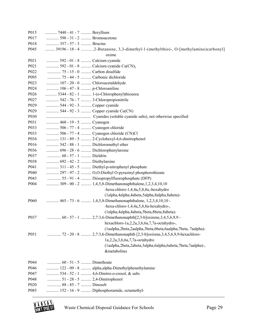| P015             | 7440 - 41 - 7  Beryllium                                                          |
|------------------|-----------------------------------------------------------------------------------|
| P017             | 598 - 31 - 2  Bromoacetone                                                        |
| P018             | 357 - 57 - 3  Brucine                                                             |
| P045             | 39196 - 18 - 4 2-Butanone, 3,3-dimethyl-1-(methylthio)-, O-[methylamino)carbonyl] |
|                  | oxime                                                                             |
| P <sub>021</sub> | 592 - 01 - 8  Calcium cyanide                                                     |
| P <sub>021</sub> | 592 - 01 - 8  Calcium cyanide Ca(CN),                                             |
| P022             | 75 - 15 - 0  Carbon disulfide                                                     |
| P095             | 75 - 44 - 5  Carbonic dichloride                                                  |
| P <sub>023</sub> | 107 - 20 - 0  Chloroacetaldehyde                                                  |
| P024             | 106 - 47 - 8  p-Chloroaniline                                                     |
| P026             | 5344 - 82 - 1  1-(o-Chlorophenyl)thiourea                                         |
| P027             | 542 - 76 - 7  3-Chloropropionitrile                                               |
| P <sub>029</sub> | 544 - 92 - 3  Copper cyanide                                                      |
| P <sub>029</sub> | 544 - 92 - 3  Copper cyanide Cu(CN)                                               |
| P030             |                                                                                   |
| P031             | 460 - 19 - 5  Cyanogen                                                            |
| P033             | 506 - 77 - 4  Cyanogen chloride                                                   |
| P033             | 506 - 77 - 4  Cyanogen chloride (CN)Cl                                            |
| P034             | 131 - 89 - 5  2-Cyclohexyl-4,6-dinitrophenol                                      |
| P016             | 542 - 88 - 1  Dichloromethyl ether                                                |
| P036             | 696 - 28 - 6  Dichlorophenylarsine                                                |
| P037             | 60 - 57 - 1  Dieldrin                                                             |
| P038             | 692 - 42 - 2  Diethylarsine                                                       |
| P041             | 311 - 45 - 5  Diethyl-p-nitrophenyl phosphate                                     |
| P040             | 297 - 97 - 2  O,O-Diethyl O-pyrazinyl phosphorothioate                            |
| P043             | 55 - 91 - 4  Diisopropylfluorophosphate (DFP)                                     |
| P004             | 309 - 00 - 2  1,4,5,8-Dimethanonaphthalene, 1,2,3,4,10,10                         |
|                  | -hexa-chloro-1,4,4a,5,8,8a,-hexahydro                                             |
|                  | (1alpha,4alpha,4abeta,5alpha,8alpha,8abeta)-                                      |
| P <sub>060</sub> | 465 - 73 - 6  1,4,5,8-Dimethanonaphthalene, 1,2,3,4,10,10 -                       |
|                  | -hexa-chloro-1,4,4a,5,8,8a-hexahydro-,                                            |
|                  | (lalpha, 4alpha, 4abeta, 5beta, 8beta, 8abeta)-                                   |
| P037             | 60 - 57 - 1  2,7:3,6-Dimethanonaphth[2,3-b]oxirene,3,4,5,6,9,9 -                  |
|                  | hexachloro-1a,2,2a,3,6,6a,7,7a-octahydro-,                                        |
|                  | (laalpha,2beta,2aalpha,3beta,6beta,6aalpha,7beta,7aalpha)-                        |
| P051             | 72 - 20 - 8  2,7:3,6-Dimethanonaphth [2,3-b]oxirene, 3,4,5,6,9,9-hexachloro-      |
|                  | 1a,2,2a,3,6,6a,7,7a-octahydro                                                     |
|                  | (laalpha,2beta,2abeta,3alpha,6alpha,6abeta,7beta,7aalpha)-,                       |
|                  | <b>&amp;metabolites</b>                                                           |
|                  |                                                                                   |
| P044             | 60 - 51 - 5  Dimethoate                                                           |
| P046             | 122 - 09 - 8  alpha, alpha-Dimethylphenethylamine                                 |
| P047             | 534 - 52 - 1  4,6-Dinitro-o-cresol, & salts                                       |
| P048             | 51 - 28 - 5  2,4-Dinitrophenol                                                    |
| P <sub>020</sub> | 88 - 85 - 7  Dinoseb                                                              |
| P085             | 152 - 16 - 9  Diphosphoramide, octamethyl-                                        |

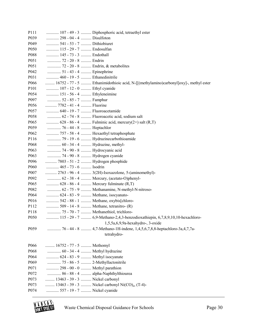| P <sub>111</sub>         |                                                                     | 107 - 49 - 3  Diphosphoric acid, tetraethyl ester                                    |
|--------------------------|---------------------------------------------------------------------|--------------------------------------------------------------------------------------|
| P <sub>0</sub> 39        | 298 - 04 - 4  Disulfoton                                            |                                                                                      |
| P <sub>049</sub>         | 541 - 53 - 7  Dithiobiuret                                          |                                                                                      |
| P <sub>050</sub>         | 115 - 29 - 7  Endosulfan                                            |                                                                                      |
| P088                     | 145 - 73 - 3  Endothall                                             |                                                                                      |
| P <sub>051</sub>         | 72 - 20 - 8  Endrin                                                 |                                                                                      |
| P <sub>051</sub>         | 72 - 20 - 8  Endrin, & metabolites                                  |                                                                                      |
| P042                     | 51 - 43 - 4  Epinephrine                                            |                                                                                      |
| P031                     | 460 - 19 - 5  Ethanedinitrile                                       |                                                                                      |
| P066                     |                                                                     | 16752 - 77 - 5  Ethanimidothioic acid, N-[[(methylamino)carbonyl]oxy]-, methyl ester |
| P <sub>10</sub> 1        | 107 - 12 - 0  Ethyl cyanide                                         |                                                                                      |
| P054                     | 151 - 56 - 4  Ethyleneimine                                         |                                                                                      |
| P <sub>097</sub>         | 52 - 85 - 7  Famphur                                                |                                                                                      |
| P056                     | 7782 - 41 - 4  Fluorine                                             |                                                                                      |
| P057                     | 640 - 19 - 7  Fluoroacetamide                                       |                                                                                      |
| P058                     |                                                                     | 62 - 74 - 8  Fluoroacetic acid, sodium salt                                          |
| P <sub>065</sub>         |                                                                     | 628 - 86 - 4  Fulminic acid, mercury(2+) salt (R,T)                                  |
| P <sub>059</sub>         | 76 - 44 - 8  Heptachlor                                             |                                                                                      |
| P <sub>062</sub>         |                                                                     | 757 - 58 - 4  Hexaethyl tetraphosphate                                               |
| P116                     |                                                                     | 79 - 19 - 6  Hydrazinecarbothioamide                                                 |
| P068                     | 60 - 34 - 4  Hydrazine, methyl-                                     |                                                                                      |
| P063                     | 74 - 90 - 8  Hydrocyanic acid                                       |                                                                                      |
| P <sub>063</sub>         | 74 - 90 - 8  Hydrogen cyanide                                       |                                                                                      |
| P096                     | 7803 - 51 - 2  Hydrogen phosphide                                   |                                                                                      |
| P <sub>060</sub>         | 465 - 73 - 6  Isodrin                                               |                                                                                      |
| P <sub>007</sub>         |                                                                     | 2763 - 96 - 4  3(2H)-Isoxazolone, 5-(aminomethyl)-                                   |
| P <sub>092</sub>         |                                                                     | 62 - 38 - 4  Mercury, (acetato-O)phenyl-                                             |
| P <sub>065</sub>         |                                                                     | 628 - 86 - 4  Mercury fulminate (R,T)                                                |
| P082                     |                                                                     | 62 - 75 - 9  Methanamine, N-methyl-N-nitroso-                                        |
| P064                     | 624 - 83 - 9  Methane, isocyanato-                                  |                                                                                      |
| P016                     |                                                                     | 542 - 88 - 1  Methane, oxybis[chloro-                                                |
| P112                     |                                                                     | 509 - 14 - 8  Methane, tetranitro- (R)                                               |
| P118                     |                                                                     | 75 - 70 - 7  Methanethiol, trichloro-                                                |
| P050                     |                                                                     | 115 - 29 - 7  6,9-Methano-2,4,3-benzodioxathiepin, 6,7,8,9,10,10-hexachloro-         |
|                          |                                                                     | $1,5,5a,6,9,9a$ -hexahydro-, 3-oxide                                                 |
| P <sub>059</sub>         |                                                                     | 76 - 44 - 8  4,7-Methano-1H-indene, 1,4,5,6,7,8,8-heptachloro-3a,4,7,7a-             |
|                          |                                                                     | tetrahydro-                                                                          |
|                          |                                                                     |                                                                                      |
| P066                     | 16752 - 77 - 5  Methomyl                                            |                                                                                      |
| P068                     | 60 - 34 - 4  Methyl hydrazine<br>624 - 83 - 9  Methyl isocyanate    |                                                                                      |
| P064                     |                                                                     |                                                                                      |
| P <sub>069</sub><br>P071 | 75 - 86 - 5  2-Methyllactonitrile<br>298 - 00 - 0  Methyl parathion |                                                                                      |
| P072                     |                                                                     | 86 - 88 - 4  alpha-Naphthylthiourea                                                  |
| P073                     | 13463 - 39 - 3  Nickel carbonyl                                     |                                                                                      |
| P073                     |                                                                     | 13463 - 39 - 3  Nickel carbonyl Ni(CO) <sub>4</sub> , (T-4)-                         |
|                          |                                                                     |                                                                                      |
| P074                     | 557 - 19 - 7  Nickel cyanide                                        |                                                                                      |

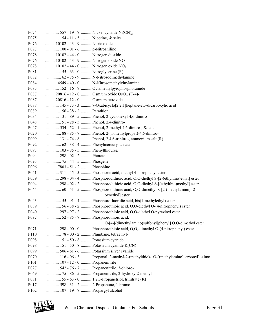| P074             |                                                | 557 - 19 - 7  Nickel cynaide Ni(CN),                                             |
|------------------|------------------------------------------------|----------------------------------------------------------------------------------|
| P075             | 54 - 11 - 5  Nicotine, & salts                 |                                                                                  |
| P076             | 10102 - 43 - 9  Nitric oxide                   |                                                                                  |
| P077             | 100 - 01 - 6  p-Nitroaniline                   |                                                                                  |
| P078             | 10102 - 44 - 0  Nitrogen dioxide               |                                                                                  |
| P076             | 10102 - 43 - 9  Nitrogen oxide NO              |                                                                                  |
| P078             | 10102 - 44 - 0  Nitrogen oxide NO <sub>2</sub> |                                                                                  |
| P081             | 55 - 63 - 0  Nitroglycerine (R)                |                                                                                  |
| P082             |                                                | 62 - 75 - 9  N-Nitrosodimethylamine                                              |
| P084             |                                                | 4549 - 40 - 0  N-Nitrosomethylvinylamine                                         |
| P085             |                                                | 152 - 16 - 9  Octamethylpyrophosphoramide                                        |
| P087             |                                                | 20816 - 12 - 0  Osmium oxide OsO <sub>4</sub> , (T-4)-                           |
| P087             | 20816 - 12 - 0  Osmium tetroxide               |                                                                                  |
| P088             |                                                | 145 - 73 - 3  7-Oxabicyclo[2.2.1] heptane-2,3-dicarboxylic acid                  |
| P089             | 56 - 38 - 2  Parathion                         |                                                                                  |
| P034             |                                                | 131 - 89 - 5  Phenol, 2-cyclohexyl-4,6-dinitro-                                  |
| P048             | 51 - 28 - 5  Phenol, 2,4-dinitro-              |                                                                                  |
| P047             |                                                | 534 - 52 - 1  Phenol, 2-methyl-4,6-dinitro-, & salts                             |
| P <sub>020</sub> |                                                | 88 - 85 - 7  Phenol, 2-(1-methylpropyl)-4,6-dinitro-                             |
| P009             |                                                | 131 - 74 - 8  Phenol, 2,4,6-trinitro-, ammonium salt (R)                         |
| P092             | 62 - 38 - 4  Phenylmercury acetate             |                                                                                  |
| P093             | 103 - 85 - 5  Phenylthiourea                   |                                                                                  |
| P094             | 298 - 02 - 2  Phorate                          |                                                                                  |
| P095             | 75 - 44 - 5  Phosgene                          |                                                                                  |
| P096             | 7803 - 51 - 2  Phosphine                       |                                                                                  |
| P041             |                                                | 311 - 45 - 5  Phosphoric acid, diethyl 4-nitrophenyl ester                       |
| P039             |                                                |                                                                                  |
| P094             |                                                | 298 - 02 - 2  Phosphorodithioic acid, O,O-diethyl S-[(ethylthio)methyl] ester    |
| P044             |                                                | 60 - 51 - 5  Phosphorodithioic acid, O,O-dimethyl S-[2-(methylamino) -2-         |
|                  |                                                | oxoethyl] ester                                                                  |
| P043             |                                                | 55 - 91 - 4  Phosphorofluoridic acid, bis(1-methylethyl) ester                   |
| P089             |                                                | 56 - 38 - 2  Phosphorothioic acid, O,O-diethyl O-(4-nitrophenyl) ester           |
| P <sub>040</sub> |                                                | 297 - 97 - 2  Phosphorothioic acid, O,O-diethyl O-pyrazinyl ester                |
| P097             | 52 - 85 - 7  Phosphorothioic acid,             |                                                                                  |
|                  |                                                | O-[4-[(dimethylamino)sulfonyl]phenyl] O,O-dimethyl ester                         |
| P071             |                                                | 298 - 00 - 0  Phosphorothioic acid, O,O,-dimethyl O-(4-nitrophenyl) ester        |
| P110             | 78 - 00 - 2  Plumbane, tetraethyl-             |                                                                                  |
| P098             | 151 - 50 - 8  Potassium cyanide                |                                                                                  |
| P098             |                                                | 151 - 50 - 8  Potassium cyanide K(CN)                                            |
| P099             |                                                | 506 - 61 - 6  Potassium silver cyanide                                           |
| P070             |                                                | 116 - 06 - 3  Propanal, 2-methyl-2-(methylthio)-, O-[(methylamino)carbonyl]oxime |
| P101             | 107 - 12 - 0  Propanenitrile                   |                                                                                  |
| P027             |                                                | 542 - 76 - 7  Propanenitrile, 3-chloro-                                          |
| P069             |                                                | 75 - 86 - 5  Propanenitrile, 2-hydroxy-2-methyl-                                 |
| P081             |                                                | 55 - 63 - 0  1,2,3-Propanetriol, trinitrate (R)                                  |
| P017             | 598 - 31 - 2  2-Propanone, 1-bromo-            |                                                                                  |
| P102             | 107 - 19 - 7  Propargyl alcohol                |                                                                                  |

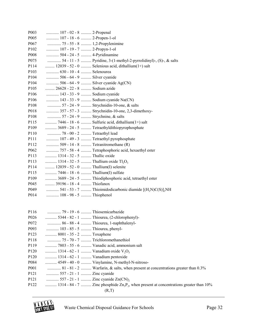| P <sub>00</sub> 3 | 107 - 02 - 8  2-Propenal                                           |
|-------------------|--------------------------------------------------------------------|
| P005              | 107 - 18 - 6  2-Propen-1-ol                                        |
| P067              | 75 - 55 - 8  1,2-Propylenimine                                     |
| P <sub>102</sub>  | 107 - 19 - 7  2-Propyn-1-ol                                        |
| P008              | 504 - 24 - 5  4-Pyridinamine                                       |
| P075              | 54 - 11 - 5  Pyridine, 3-(1-methyl-2-pyrrolidinyl)-, (S)-, & salts |
| P114              | 12039 - 52 - 0  Selenious acid, dithallium(1+) salt                |
| P103              | 630 - 10 - 4  Selenourea                                           |
| P104              | 506 - 64 - 9  Silver cyanide                                       |
| P104              | 506 - 64 - 9  Silver cyanide Ag(CN)                                |
| P105              | 26628 - 22 - 8  Sodium azide                                       |
| P106              | 143 - 33 - 9  Sodium cyanide                                       |
| P106              | 143 - 33 - 9  Sodium cyanide Na(CN)                                |
| P108              | 57 - 24 - 9  Strychnidin-10-one, & salts                           |
| P018              | 357 - 57 - 3  Strychnidin-10-one, 2,3-dimethoxy-                   |
| P108              | 57 - 24 - 9  Strychnine, & salts                                   |
| P115              | 7446 - 18 - 6  Sulfuric acid, dithallium(1+) salt                  |
| P109              | 3689 - 24 - 5  Tetraethyldithiopyrophosphate                       |
| P110              | 78 - 00 - 2  Tetraethyl lead                                       |
| P111              | 107 - 49 - 3  Tetraethyl pyrophosphate                             |
| P112              | 509 - 14 - 8  Tetranitromethane (R)                                |
| P062              | 757 - 58 - 4  Tetraphosphoric acid, hexaethyl ester                |
| P113              | 1314 - 32 - 5  Thallic oxide                                       |
| P113              | 1314 - 32 - 5  Thallium oxide $Tl_2O_3$                            |
| P114              | 12039 - 52 - 0  Thallium(I) selenite                               |
| P115              | 7446 - 18 - 6  Thallium(I) sulfate                                 |
| P109              | 3689 - 24 - 5  Thiodiphosphoric acid, tetraethyl ester             |
| P045              | 39196 - 18 - 4  Thiofanox                                          |
| P049              | 541 - 53 - 7  Thioimidodicarbonic diamide $[(H_2N)C(S)]_2NH$       |
| P014              | 108 - 98 - 5  Thiophenol                                           |
|                   |                                                                    |
|                   |                                                                    |
| P116              | 79 - 19 - 6  Thiosemicarbazide                                     |
| P026              | 5344 - 82 - 1  Thiourea, (2-chlorophenyl)-                         |
| P072              | 86 - 88 - 4  Thiourea, 1-naphthalenyl-                             |
| P093              | 103 - 85 - 5  Thiourea, phenyl-                                    |
| P123              | 8001 - 35 - 2  Toxaphene                                           |
| P118              | 75 - 70 - 7  Trichloromethanethiol                                 |

- P119 ........... 7803 55 6 .......... Vanadic acid, ammonium salt
- P120 ............ 1314 62 1 .......... Vanadium oxide  $V_2O_5$
- P120 ........... 1314 62 1 .......... Vanadium pentoxide
- P084 ........... 4549 40 0 .......... Vinylamine, N-methyl-N-nitroso-
- P001 .............. 81 81 2 .......... Warfarin, & salts, when present at concentrations greater than 0.3%
- P121 ............ 557 21 1 .......... Zinc cyanide
- P121 .............. 557 21 1 ........... Zinc cyanide  $Zn(CN)_{2}$
- P122 ............ 1314 84 7 .......... Zinc phosphide  $Zn_3P_2$ , when present at concentrations greater than 10%  $(R,T)$

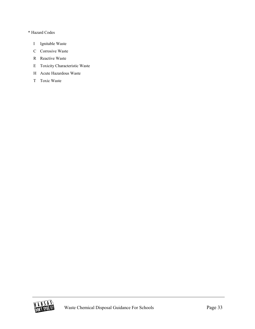#### \* Hazard Codes

- I Ignitable Waste
- C Corrosive Waste
- R Reactive Waste
- E Toxicity Characteristic Waste
- H Acute Hazardous Waste
- T Toxic Waste

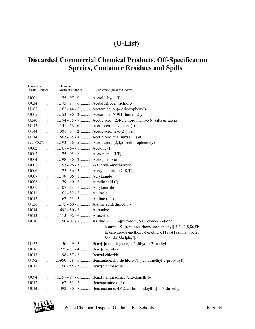# **(U-List)**

# **Discarded Commercial Chemical Products, Off-Specification Species, Container Residues and Spills**

| Hazardous<br>Waste Number | Chemical<br><b>Abstract Number</b> | Substance (Hazard Code*)                                                                                                                                                                                 |
|---------------------------|------------------------------------|----------------------------------------------------------------------------------------------------------------------------------------------------------------------------------------------------------|
| U001                      | 75 - 07 - 0  Acetaldehyde (I)      |                                                                                                                                                                                                          |
| U034                      |                                    | 75 - 87 - 6  Acetaldehyde, trichloro-                                                                                                                                                                    |
| U187                      |                                    | 62 - 44 - 2  Acetamide, N-(4-ethoxyphenyl)-                                                                                                                                                              |
| U005                      |                                    | 53 - 96 - 3  Acetamide, N-9H-fluoren-2-yl-                                                                                                                                                               |
| U240                      |                                    | 94 - 75 - 7  Acetic acid, (2,4-dichlorophenoxy)-, salts & esters                                                                                                                                         |
| U112                      |                                    | 141 - 78 - 6  Acetic acid ethyl ester (I)                                                                                                                                                                |
| U144                      |                                    | 301 - 04 - 2  Acetic acid, lead(2+) salt                                                                                                                                                                 |
| U214                      |                                    | 563 - 68 - 8  Acetic acid, thallium(1+) salt                                                                                                                                                             |
| see F027.                 |                                    | 93 - 76 - 5  Acetic acid, (2,4,5-trichlorophenoxy)-                                                                                                                                                      |
| U002                      | 67 - 64 - 1  Acetone (I)           |                                                                                                                                                                                                          |
| U003                      | 75 - 05 - 8  Acetonitrile (I,T)    |                                                                                                                                                                                                          |
| U004                      | 98 - 86 - 2  Acetophenone          |                                                                                                                                                                                                          |
| U005                      |                                    | 53 - 96 - 3  2-Acetylaminofluorene                                                                                                                                                                       |
| U006                      |                                    | 75 - 36 - 5  Acetyl chloride (C,R,T)                                                                                                                                                                     |
| U007                      | 79 - 06 - 1  Acrylamide            |                                                                                                                                                                                                          |
| U008                      | 79 - 10 - 7  Acrylic acid (I)      |                                                                                                                                                                                                          |
| U009                      | 107 - 13 - 1  Acrylonitrile        |                                                                                                                                                                                                          |
| U011                      | 61 - 82 - 5  Amitrole              |                                                                                                                                                                                                          |
| U012                      |                                    |                                                                                                                                                                                                          |
| U136                      |                                    | 75 - 60 - 5  Arsinic acid, dimethyl-                                                                                                                                                                     |
| U014                      | 492 - 80 - 8  Auramine             |                                                                                                                                                                                                          |
| U015                      | 115 - 02 - 6  Azaserine            |                                                                                                                                                                                                          |
| U010                      |                                    | 50 - 07 - 7  Azirino[2',3':3,4]pyrrolo[1,2-a]indole-4,7-dione,<br>6-amino-8-[[(aminocarbonyl)oxy]methyl]-1,1a,2,8,8a,8b-<br>hexahydro-8a-methoxy-5-methyl-, [1aS-(1aalpha, 8beta,<br>8aalpha, 8balpha)]- |
| U157                      |                                    | 56 - 49 - 5  Benz[j]aceanthrylene, 1,2-dihydro-3-methyl-                                                                                                                                                 |
| U016                      | 225 - 51 - 4  Benz[c]acridine      |                                                                                                                                                                                                          |
| U017                      | 98 - 87 - 3  Benzal chloride       |                                                                                                                                                                                                          |
| U192                      |                                    | 23950 - 58 - 5  Benzamide, 3,5-dichloro-N-(1,1-dimethyl-2-propynyl)-                                                                                                                                     |
| U018                      |                                    | 56 - 55 - 3  Benz[a]anthracene                                                                                                                                                                           |
| U094                      |                                    | 57 - 97 - 6  Benz[a]anthracene, 7,12-dimethyl-                                                                                                                                                           |
| U012                      |                                    |                                                                                                                                                                                                          |
| U014                      |                                    | 492 - 80 - 8  Benzenamine, 4,4¼-carbonimidoylbis[N,N-dimethyl-                                                                                                                                           |

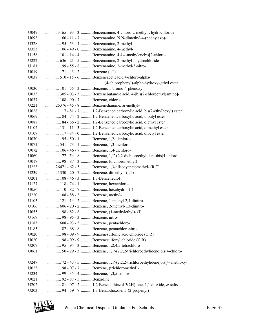| U <sub>049</sub> |                                | 3165 - 93 - 3  Benzenamine, 4-chloro-2-methyl-, hydrochloride         |
|------------------|--------------------------------|-----------------------------------------------------------------------|
| U093             |                                | 60 - 11 - 7  Benzenamine, N,N-dimethyl-4-(phenylazo)-                 |
| U328             |                                | 95 - 53 - 4  Benzenamine, 2-methyl-                                   |
| U353             |                                | 106 - 49 - 0  Benzenamine, 4-methyl-                                  |
| U158             |                                | 101 - 14 - 4  Benzenamine, 4,4¼-methylenebis[2-chloro-                |
| U222             |                                | 636 - 21 - 5  Benzenamine, 2-methyl-, hydrochloride                   |
| U181             |                                | 99 - 55 - 8  Benzenamine, 2-methyl-5-nitro-                           |
| U019             |                                |                                                                       |
| U038             |                                | 510 - 15 - 6  Benzeneaceticacid, 4-chloro-alpha-                      |
|                  |                                | (4-chlorophenyl)-alpha-hydroxy-,ethyl ester                           |
| U030             |                                | 101 - 55 - 3  Benzene, 1-bromo-4-phenoxy-                             |
| U035             |                                | 305 - 03 - 3  Benzenebutanoic acid, 4-[bis(2-chloroethyl)amino]-      |
| U037             | 108 - 90 - 7  Benzene, chloro- |                                                                       |
| U221             |                                | 25376 - 45 - 8  Benzenediamine, ar-methyl-                            |
| U028             |                                | 117 - 81 - 7  1,2-Benzenedicarboxylic acid, bis(2-ethylhexyl) ester   |
| U069             |                                | 84 - 74 - 2  1,2-Benzenedicarboxylic acid, dibutyl ester              |
| U088             |                                | 84 - 66 - 2  1,2-Benzenedicarboxylic acid, diethyl ester              |
| U102             |                                | 131 - 11 - 3  1,2-Benzenedicarboxylic acid, dimethyl ester            |
| U107             |                                | 117 - 84 - 0  1,2-Benzenedicarboxylic acid, dioctyl ester             |
| U070             |                                | 95 - 50 - 1  Benzene, 1,2-dichloro-                                   |
| U071             |                                | 541 - 73 - 1  Benzene, 1,3-dichloro-                                  |
| U072             |                                | 106 - 46 - 7  Benzene, 1,4-dichloro-                                  |
| U060             |                                | 72 - 54 - 8  Benzene, 1,1'-(2,2-dichloroethylidene)bis[4-chloro-      |
| U017             |                                | 98 - 87 - 3  Benzene, (dichloromethyl)-                               |
| U223             |                                | 26471 - 62 - 5  Benzene, 1,3-diisocyanatomethyl- (R,T)                |
| U239             |                                | 1330 - 20 - 7  Benzene, dimethyl- (I,T)                               |
| U201             | 108 - 46 - 3  1,3-Benzenediol  |                                                                       |
| U127             |                                | 118 - 74 - 1  Benzene, hexachloro-                                    |
| U056             |                                | 110 - 82 - 7  Benzene, hexahydro- (I)                                 |
| U220             | 108 - 88 - 3  Benzene, methyl- |                                                                       |
| U105             |                                | 121 - 14 - 2  Benzene, 1-methyl-2,4-dinitro-                          |
| U106             |                                | 606 - 20 - 2  Benzene, 2-methyl-1,3-dinitro-                          |
| U055             |                                | 98 - 82 - 8  Benzene, (1-methylethyl)- (I)                            |
| U169             | 98 - 95 - 3  Benzene, nitro-   |                                                                       |
| U183             |                                | 608 - 93 - 5  Benzene, pentachloro-                                   |
| U185             |                                | 82 - 68 - 8  Benzene, pentachloronitro-                               |
| U020             |                                | 98 - 09 - 9  Benzenesulfonic acid chloride (C,R)                      |
| U020             |                                | 98 - 09 - 9  Benzenesulfonyl chloride (C,R)                           |
| U <sub>207</sub> |                                | 95 - 94 - 3  Benzene, 1,2,4,5-tetrachloro-                            |
| U061             |                                | 50 - 29 - 3  Benzene, 1,1'-(2,2,2-trichloroethylidene)bis[4-chloro-   |
|                  |                                |                                                                       |
| U247             |                                | 72 - 43 - 5  Benzene, 1,1'-(2,2,2-trichloroethylidene)bis[4- methoxy- |
| U023             |                                | 98 - 07 - 7  Benzene, (trichloromethyl)-                              |
| U234             |                                | 99 - 35 - 4  Benzene, 1,3,5-trinitro-                                 |
| U021             | 92 - 87 - 5  Benzidine         |                                                                       |
| U202             |                                | 81 - 07 - 2  1,2-Benzisothiazol-3(2H)-one, 1,1-dioxide, & salts       |
| U203             |                                | 94 - 59 - 7  1,3-Benzodioxole, 5-(2-propenyl)-                        |
|                  |                                |                                                                       |

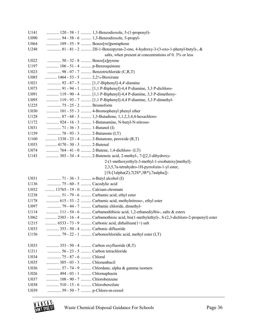| U141 |                                  | 120 - 58 - 1  1,3-Benzodioxole, 5-(1-propenyl)-                                           |
|------|----------------------------------|-------------------------------------------------------------------------------------------|
| U090 |                                  | 94 - 58 - 6  1,3-Benzodioxole, 5-propyl-                                                  |
| U064 |                                  | 189 - 55 - 9  Benzo[rst]pentaphene                                                        |
| U248 |                                  | 81 - 81 - 2  2H-1-Benzopyran-2-one, 4-hydroxy-3-(3-oxo-1-phenyl-butyl)-, &                |
|      |                                  | salts, when present at concentrations of 0.3% or less                                     |
| U022 | 50 - 32 - 8  Benzo[a]pyrene      |                                                                                           |
| U197 | 106 - 51 - 4  p-Benzoquinone     |                                                                                           |
| U023 |                                  | 98 - 07 - 7  Benzotrichloride (C,R,T)                                                     |
| U085 | 1464 - 53 - 5  2,2¼-Bioxirane    |                                                                                           |
| U021 |                                  | 92 - 87 - 5  [1,1'-Biphenyl]-4,4'-diamine                                                 |
| U073 |                                  | 91 - 94 - 1  [1,1 P-Biphenyl]-4,4 P-diamine, 3,3 P-dichloro-                              |
| U091 |                                  | 119 - 90 - 4  [1,1 P-Biphenyl]-4,4 P-diamine, 3,3 P-dimethoxy-                            |
| U095 |                                  | 119 - 93 - 7  [1,1 P-Biphenyl]-4,4 P-diamine, 3,3 P-dimethyl-                             |
| U225 | 75 - 25 - 2  Bromoform           |                                                                                           |
| U030 |                                  | 101 - 55 - 3  4-Bromophenyl phenyl ether                                                  |
| U128 |                                  | 87 - 68 - 3  1,3-Butadiene, 1,1,2,3,4,4-hexachloro-                                       |
| U172 |                                  | 924 - 16 - 3  1-Butanamine, N-butyl-N-nitroso-                                            |
| U031 |                                  |                                                                                           |
| U159 | 78 - 93 - 3  2-Butanone (I,T)    |                                                                                           |
| U160 |                                  | 1338 - 23 - 4  2-Butanone, peroxide (R,T)                                                 |
| U053 | 4170 - 30 - 3  2-Butenal         |                                                                                           |
| U074 |                                  | 764 - 41 - 0  2-Butene, 1,4-dichloro- (I,T)                                               |
| U143 |                                  | 303 - 34 - 4  2-Butenoic acid, 2-methyl-, 7-[[2,3-dihydroxy-                              |
|      |                                  | 2-(1-methoxyethyl)-3-methyl-1-oxobutoxy]methyl]-                                          |
|      |                                  | 2,3,5,7a-tetrahydro-1H-pyrrolizin-1-yl ester,                                             |
|      |                                  | $[1S-[1a]pha(Z),7(2S*,3R*),7aa]pha]$ ]-                                                   |
| U031 |                                  |                                                                                           |
| U136 | 75 - 60 - 5  Cacodylic acid      |                                                                                           |
| U032 | 13765 - 19 - 0  Calcium chromate |                                                                                           |
| U238 |                                  | 51 - 79 - 6  Carbamic acid, ethyl ester                                                   |
| U178 |                                  | 615 - 53 - 2  Carbamic acid, methylnitroso-, ethyl ester                                  |
| U097 |                                  | 79 - 44 - 7  Carbamic chloride, dimethyl-                                                 |
| U114 |                                  | 111 - 54 - 6  Carbamodithioic acid, 1,2-ethanediylbis-, salts & esters                    |
| U062 |                                  | 2303 - 16 - 4  Carbamothioic acid, bis(1-methylethyl)-, S-(2,3-dichloro-2-propenyl) ester |
| U215 |                                  | 6533 - 73 - 9  Carbonic acid, dithallium(1+) salt                                         |
| U033 |                                  | 353 - 50 - 4  Carbonic difluoride                                                         |
| U156 |                                  | 79 - 22 - 1  Carbonochloridic acid, methyl ester (I,T)                                    |
|      |                                  |                                                                                           |
| U033 |                                  | 353 - 50 - 4  Carbon oxyfluoride (R,T)                                                    |
| U211 |                                  | 56 - 23 - 5  Carbon tetrachloride                                                         |
| U034 | 75 - 87 - 6  Chloral             |                                                                                           |
| U035 | 305 - 03 - 3  Chlorambucil       |                                                                                           |
| U036 |                                  | 57 - 74 - 9  Chlordane, alpha & gamma isomers                                             |
| U026 | 494 - 03 - 1  Chlornaphazin      |                                                                                           |
| U037 | 108 - 90 - 7  Chlorobenzene      |                                                                                           |
| U038 | 510 - 15 - 6  Chlorobenzilate    |                                                                                           |
| U039 | 59 - 50 - 7  p-Chloro-m-cresol   |                                                                                           |

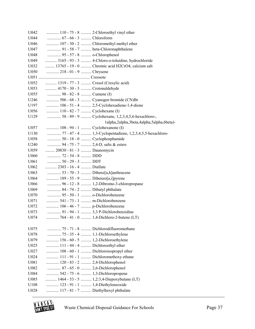| U042 |                                   | 110 - 75 - 8  2-Chloroethyl vinyl ether                   |
|------|-----------------------------------|-----------------------------------------------------------|
| U044 | 67 - 66 - 3  Chloroform           |                                                           |
| U046 |                                   | 107 - 30 - 2  Chloromethyl methyl ether                   |
| U047 |                                   | 91 - 58 - 7  beta-Chloronaphthalene                       |
| U048 | 95 - 57 - 8  o-Chlorophenol       |                                                           |
| U049 |                                   | 3165 - 93 - 3  4-Chloro-o-toluidine, hydrochloride        |
| U032 |                                   | 13765 - 19 - 0  Chromic acid H2CrO4, calcium salt         |
| U050 | 218 - 01 - 9  Chrysene            |                                                           |
|      |                                   |                                                           |
| U052 |                                   | 1319 - 77 - 3  Cresol (Cresylic acid)                     |
| U053 | 4170 - 30 - 3  Crotonaldehyde     |                                                           |
| U055 | 98 - 82 - 8  Cumene (I)           |                                                           |
| U246 |                                   | 506 - 68 - 3  Cyanogen bromide (CN)Br                     |
| U197 |                                   | 106 - 51 - 4  2,5-Cyclohexadiene-1,4-dione                |
| U056 | 110 - 82 - 7  Cyclohexane (I)     |                                                           |
| U129 |                                   | 58 - 89 - 9  Cyclohexane, 1,2,3,4,5,6-hexachloro-,        |
|      |                                   | 1alpha,2alpha,3beta,4alpha,5alpha,6beta)-                 |
| U057 | 108 - 94 - 1  Cyclohexanone (I)   |                                                           |
| U130 |                                   | 77 - 47 - 4  1,3-Cyclopentadiene, 1,2,3,4,5,5-hexachloro- |
| U058 | 50 - 18 - 0  Cyclophosphamide     |                                                           |
| U240 |                                   | 94 - 75 - 7  2,4-D, salts & esters                        |
| U059 | 20830 - 81 - 3  Daunomycin        |                                                           |
| U060 | 72 - 54 - 8  DDD                  |                                                           |
| U061 | 50 - 29 - 3  DDT                  |                                                           |
| U062 | 2303 - 16 - 4  Diallate           |                                                           |
| U063 |                                   | 53 - 70 - 3  Dibenz[a,h]anthracene                        |
| U064 | 189 - 55 - 9  Dibenzo[a,i]pyrene  |                                                           |
| U066 |                                   | 96 - 12 - 8  1,2-Dibromo-3-chloropropane                  |
| U069 | 84 - 74 - 2  Dibutyl phthalate    |                                                           |
| U070 | 95 - 50 - 1  o-Dichlorobenzene    |                                                           |
| U071 | 541 - 73 - 1  m-Dichlorobenzene   |                                                           |
| U072 | 106 - 46 - 7  p-Dichlorobenzene   |                                                           |
| U073 |                                   | 91 - 94 - 1  3,3 P-Dichlorobenzidine                      |
| U074 |                                   | 764 - 41 - 0  1,4-Dichloro-2-butene (I,T)                 |
|      |                                   |                                                           |
| U075 |                                   | 75 - 71 - 8  Dichlorodifluoromethane                      |
| U078 |                                   | 75 - 35 - 4  1,1-Dichloroethylene                         |
| U079 |                                   | 156 - 60 - 5  1,2-Dichloroethylene                        |
| U025 | 111 - 44 - 4  Dichloroethyl ether |                                                           |
| U027 |                                   | 108 - 60 - 1  Dichloroisopropyl ether                     |
| U024 |                                   | 111 - 91 - 1  Dichloromethoxy ethane                      |
| U081 | 120 - 83 - 2  2,4-Dichlorophenol  |                                                           |
| U082 | 87 - 65 - 0  2,6-Dichlorophenol   |                                                           |
| U084 |                                   | 542 - 75 - 6  1,3-Dichloropropene                         |
| U085 |                                   | 1464 - 53 - 5  1,2:3,4-Diepoxybutane (I,T)                |
| U108 |                                   | 123 - 91 - 1  1,4-Diethyleneoxide                         |
| U028 |                                   | 117 - 81 - 7  Diethylhexyl phthalate                      |
|      |                                   |                                                           |

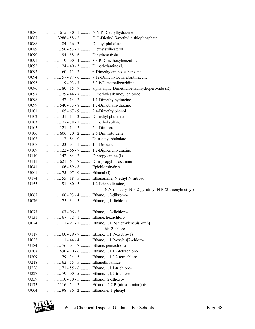| U086 |                                     | 1615 - 80 - 1  N, N P-Diethylhydrazine                   |
|------|-------------------------------------|----------------------------------------------------------|
| U087 |                                     | 3288 - 58 - 2  O,O-Diethyl S-methyl dithiophosphate      |
| U088 | 84 - 66 - 2  Diethyl phthalate      |                                                          |
| U089 | 56 - 53 - 1  Diethylstilbesterol    |                                                          |
| U090 | 94 - 58 - 6  Dihydrosafrole         |                                                          |
| U091 |                                     | 119 - 90 - 4  3,3 P-Dimethoxybenzidine                   |
| U092 | 124 - 40 - 3  Dimethylamine (I)     |                                                          |
| U093 |                                     | 60 - 11 - 7  p-Dimethylaminoazobenzene                   |
| U094 |                                     | 57 - 97 - 6  7,12-Dimethylbenz[a]anthracene              |
| U095 |                                     | 119 - 93 - 7  3,3 P-Dimethylbenzidine                    |
| U096 |                                     | 80 - 15 - 9  alpha,alpha-Dimethylbenzylhydroperoxide (R) |
| U097 |                                     | 79 - 44 - 7  Dimethylcarbamoyl chloride                  |
| U098 |                                     | 57 - 14 - 7  1,1-Dimethylhydrazine                       |
| U099 | 540 - 73 - 8  1,2-Dimethylhydrazine |                                                          |
| U101 | 105 - 67 - 9  2,4-Dimethylphenol    |                                                          |
| U102 | 131 - 11 - 3  Dimethyl phthalate    |                                                          |
| U103 | 77 - 78 - 1  Dimethyl sulfate       |                                                          |
| U105 | 121 - 14 - 2  2,4-Dinitrotoluene    |                                                          |
| U106 | 606 - 20 - 2  2,6-Dinitrotoluene    |                                                          |
| U107 | 117 - 84 - 0  Di-n-octyl phthalate  |                                                          |
| U108 | 123 - 91 - 1  1,4-Dioxane           |                                                          |
| U109 | 122 - 66 - 7  1,2-Diphenylhydrazine |                                                          |
| U110 | 142 - 84 - 7  Dipropylamine (I)     |                                                          |
| U111 |                                     | 621 - 64 - 7  Di-n-propylnitrosamine                     |
| U041 | 106 - 89 - 8  Epichlorohydrin       |                                                          |
| U001 | 75 - 07 - 0  Ethanal (I)            |                                                          |
| U174 |                                     | 55 - 18 - 5  Ethanamine, N-ethyl-N-nitroso-              |
| U155 | 91 - 80 - 5  1,2-Ethanediamine,     |                                                          |
|      |                                     | N,N-dimethyl-N P-2-pyridinyl-N P-(2-thienylmethyl)-      |
| U067 | 106 - 93 - 4  Ethane, 1,2-dibromo-  |                                                          |
| U076 | 75 - 34 - 3  Ethane, 1,1-dichloro-  |                                                          |
| U077 | 107 - 06 - 2  Ethane, 1,2-dichloro- |                                                          |
| U131 | 67 - 72 - 1  Ethane, hexachloro-    |                                                          |
| U024 |                                     | 111 - 91 - 1  Ethane, 1,1 P-[methylenebis(oxy)]          |
|      |                                     | bis[2-chloro-                                            |
| U117 |                                     | 60 - 29 - 7  Ethane, 1,1 P-oxybis-(I)                    |
| U025 |                                     | 111 - 44 - 4  Ethane, 1,1 P-oxybis[2-chloro-             |
| U184 | 76 - 01 - 7  Ethane, pentachloro-   |                                                          |
| U208 |                                     | 630 - 20 - 6  Ethane, 1,1,1,2-tetrachloro-               |
| U209 |                                     | 79 - 34 - 5  Ethane, 1,1,2,2-tetrachloro-                |
| U218 | 62 - 55 - 5  Ethanethioamide        |                                                          |
| U226 |                                     | 71 - 55 - 6  Ethane, 1,1,1-trichloro-                    |
| U227 |                                     | 79 - 00 - 5  Ethane, 1,1,2-trichloro-                    |
| U359 | 110 - 80 - 5  Ethanol, 2-ethoxy-    |                                                          |
| U173 |                                     | 1116 - 54 - 7  Ethanol, 2,2 P-(nitrosoimino) bis-        |
| U004 | 98 - 86 - 2  Ethanone, 1-phenyl-    |                                                          |

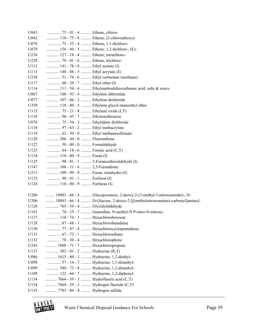| U043             | 75 - 01 - 4  Ethene, chloro-                                     |                                                                              |
|------------------|------------------------------------------------------------------|------------------------------------------------------------------------------|
| U042             |                                                                  | 110 - 75 - 8  Ethene, (2-chloroethoxy)-                                      |
| U078             | 75 - 35 - 4  Ethene, 1, 1-dichloro-                              |                                                                              |
| U079             |                                                                  | 156 - 60 - 5  Ethene, 1,2-dichloro-, (E)-                                    |
| U210             | 127 - 18 - 4  Ethene, tetrachloro-                               |                                                                              |
| U228             | 79 - 01 - 6  Ethene, trichloro-                                  |                                                                              |
| U112             | 141 - 78 - 6  Ethyl acetate (I)                                  |                                                                              |
| U113             | 140 - 88 - 5  Ethyl acrylate (I)                                 |                                                                              |
| U238             |                                                                  | 51 - 79 - 6  Ethyl carbamate (urethane)                                      |
| U117             | 60 - 29 - 7  Ethyl ether (I)                                     |                                                                              |
| U114             |                                                                  | 111 - 54 - 6  Ethylenebisdithiocarbamic acid, salts & esters                 |
| U067             | 106 - 93 - 4  Ethylene dibromide                                 |                                                                              |
| U077             | 107 - 06 - 2  Ethylene dichloride                                |                                                                              |
| U359             |                                                                  | 110 - 80 - 5  Ethylene glycol monoethyl ether                                |
| U115             | 75 - 21 - 8  Ethylene oxide (I,T)                                |                                                                              |
| U116             | 96 - 45 - 7  Ethylenethiourea                                    |                                                                              |
| U076             | 75 - 34 - 3  Ethylidene dichloride                               |                                                                              |
| U118             | 97 - 63 - 2  Ethyl methacrylate                                  |                                                                              |
| U119             |                                                                  | 62 - 50 - 0  Ethyl methanesulfonate                                          |
| U120             | 206 - 44 - 0  Fluoranthene                                       |                                                                              |
| U122             | 50 - 00 - 0  Formaldehyde                                        |                                                                              |
| U123             | 64 - 18 - 6  Formic acid (C,T)                                   |                                                                              |
| U124             | 110 - 00 - 9  Furan (I)                                          |                                                                              |
| U125             |                                                                  | 98 - 01 - 1  2-Furancarboxaldehyde (I)                                       |
| U147             | 108 - 31 - 6  2,5-Furandione                                     |                                                                              |
| U213             | 109 - 99 - 9  Furan, tetrahydro-(I)                              |                                                                              |
| U125             | 98 - 01 - 1  Furfural (I)                                        |                                                                              |
| U124             | 110 - 00 - 9  Furfuran (I)                                       |                                                                              |
|                  |                                                                  |                                                                              |
| U <sub>206</sub> |                                                                  | 18883 - 66 - 4  Glucopyranose, 2-deoxy-2-(3-methyl-3-nitrosoureido)-, D-     |
| U <sub>206</sub> |                                                                  | 18883 - 66 - 4  D-Glucose, 2-deoxy-2-[[(methylnitrosoamino)-carbonyl]amino]- |
| U126             | 765 - 34 - 4  Glycidylaldehyde                                   |                                                                              |
| U163             |                                                                  | 70 - 25 - 7  Guanidine, N-methyl-N P-nitro-N-nitroso-                        |
| U127             | 118 - 74 - 1  Hexachlorobenzene                                  |                                                                              |
| U128<br>U130     | 87 - 68 - 3  Hexachlorobutadiene                                 |                                                                              |
|                  | 67 - 72 - 1  Hexachloroethane                                    | 77 - 47 - 4  Hexachlorocyclopentadiene                                       |
| U131             |                                                                  |                                                                              |
| U132<br>U243     | 70 - 30 - 4  Hexachlorophene<br>1888 - 71 - 7  Hexachloropropene |                                                                              |
| U133             | 302 - 01 - 2  Hydrazine (R,T)                                    |                                                                              |
| U086             | 1615 - 80 - 1  Hydrazine, 1,2-diethyl-                           |                                                                              |
| U098             |                                                                  | 57 - 14 - 7  Hydrazine, 1,1-dimethyl-                                        |
| U099             |                                                                  | 540 - 73 - 8  Hydrazine, 1,2-dimethyl-                                       |
| U109             |                                                                  | 122 - 66 - 7  Hydrazine, 1,2-diphenyl-                                       |
| U134             |                                                                  | 7664 - 39 - 3  Hydrofluoric acid (C,T)                                       |
| U134             |                                                                  | 7664 - 39 - 3  Hydrogen fluoride (C,T)                                       |
| U135             | 7783 - 06 - 4  Hydrogen sulfide                                  |                                                                              |
|                  |                                                                  |                                                                              |

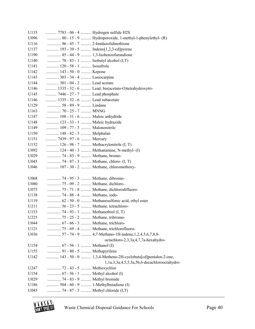| U135         | 7783 - 06 - 4  Hydrogen sulfide H2S                          |                                                             |
|--------------|--------------------------------------------------------------|-------------------------------------------------------------|
| U096         |                                                              | 80 - 15 - 9  Hydroperoxide, 1-methyl-1-phenylethyl- (R)     |
| U116         | 96 - 45 - 7  2-Imidazolidinethione                           |                                                             |
| U137         | 193 - 39 - 5  Indeno[1,2,3-cd]pyrene                         |                                                             |
| U190         | 85 - 44 - 9  1,3-Isobenzofurandione                          |                                                             |
| U140         | 78 - 83 - 1  Isobutyl alcohol $(I, T)$                       |                                                             |
| U141         | 120 - 58 - 1  Isosafrole                                     |                                                             |
| U142         | 143 - 50 - 0  Kepone                                         |                                                             |
| U143         | 303 - 34 - 4  Lasiocarpine                                   |                                                             |
| U144         | 301 - 04 - 2  Lead acetate                                   |                                                             |
| U146         |                                                              | 1335 - 32 - 6  Lead, bis(acetato-O)tetrahydroxytri-         |
| U145         | 7446 - 27 - 7  Lead phosphate                                |                                                             |
| U146         | 1335 - 32 - 6  Lead subacetate                               |                                                             |
| U129         | 58 - 89 - 9  Lindane                                         |                                                             |
| U163         | 70 - 25 - 7  MNNG                                            |                                                             |
| U147         | 108 - 31 - 6  Maleic anhydride                               |                                                             |
| U148         | 123 - 33 - 1  Maleic hydrazide                               |                                                             |
| U149         | 109 - 77 - 3  Malononitrile                                  |                                                             |
| U150         | 148 - 82 - 3  Melphalan                                      |                                                             |
| U151         | 7439 - 97 - 6  Mercury                                       |                                                             |
| U152         | 126 - 98 - 7  Methacrylonitrile (I, T)                       |                                                             |
| U092         |                                                              | 124 - 40 - 3  Methanamine, N-methyl- (I)                    |
| U029         | 74 - 83 - 9  Methane, bromo-                                 |                                                             |
| U045         | 74 - 87 - 3  Methane, chloro- (I, T)                         |                                                             |
| U046         |                                                              | 107 - 30 - 2  Methane, chloromethoxy-                       |
|              |                                                              |                                                             |
| U068         | 74 - 95 - 3  Methane, dibromo-                               |                                                             |
| U080         | 75 - 09 - 2  Methane, dichloro-                              |                                                             |
| U075         |                                                              | 75 - 71 - 8  Methane, dichlorodifluoro-                     |
| U138         | 74 - 88 - 4  Methane, iodo-                                  |                                                             |
| U119         |                                                              | 62 - 50 - 0  Methanesulfonic acid, ethyl ester              |
| U211         | 56 - 23 - 5  Methane, tetrachloro-                           |                                                             |
| U153         | 74 - 93 - 1  Methanethiol (I, T)                             |                                                             |
| U225         | 75 - 25 - 2  Methane, tribromo-                              |                                                             |
| U044         | 67 - 66 - 3  Methane, trichloro-                             |                                                             |
| U121         |                                                              | 75 - 69 - 4  Methane, trichlorofluoro-                      |
| U036         |                                                              | 57 - 74 - 9  4,7-Methano-1H-indene, 1, 2, 4, 5, 6, 7, 8, 8- |
|              |                                                              | octachloro-2,3,3a,4,7,7a-hexahydro-                         |
| U154         |                                                              |                                                             |
| U155         | 91 - 80 - 5  Methapyrilene                                   |                                                             |
| U142         |                                                              | 143 - 50 - 0  1,3,4-Metheno-2H-cyclobuta[cd]pentalen-2-one, |
|              |                                                              | 1,1a,3,3a,4,5,5,5a,5b,6-decachlorooctahydro-                |
| U247         | 72 - 43 - 5  Methoxychlor<br>67 - 56 - 1  Methyl alcohol (I) |                                                             |
| U154<br>U029 | 74 - 83 - 9  Methyl bromide                                  |                                                             |
|              | 504 - 60 - 9  1-Methylbutadiene (I)                          |                                                             |
| U186         |                                                              |                                                             |
| U045         | 74 - 87 - 3  Methyl chloride (I,T)                           |                                                             |

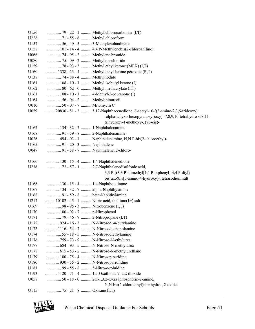| U156 |                                    | 79 - 22 - 1  Methyl chlorocarbonate (I,T)                                    |
|------|------------------------------------|------------------------------------------------------------------------------|
| U226 | 71 - 55 - 6  Methyl chloroform     |                                                                              |
| U157 |                                    | 56 - 49 - 5  3-Methylcholanthrene                                            |
| U158 |                                    | 101 - 14 - 4  4,4 P-Methylenebis(2-chloroaniline)                            |
| U068 | 74 - 95 - 3  Methylene bromide     |                                                                              |
| U080 | 75 - 09 - 2  Methylene chloride    |                                                                              |
| U159 |                                    | 78 - 93 - 3  Methyl ethyl ketone (MEK) (I,T)                                 |
| U160 |                                    | 1338 - 23 - 4  Methyl ethyl ketone peroxide $(R, T)$                         |
| U138 | 74 - 88 - 4  Methyl iodide         |                                                                              |
| U161 |                                    | 108 - 10 - 1  Methyl isobutyl ketone (I)                                     |
| U162 |                                    | 80 - 62 - 6  Methyl methacrylate (I,T)                                       |
| U161 |                                    | 108 - 10 - 1  4-Methyl-2-pentanone (I)                                       |
| U164 | 56 - 04 - 2  Methylthiouracil      |                                                                              |
| U010 | 50 - 07 - 7  Mitomycin C           |                                                                              |
| U059 |                                    | 20830 - 81 - 3  5,12-Naphthacenedione, 8-acetyl-10-[(3-amino-2,3,6-trideoxy) |
|      |                                    | -alpha-L-lyxo-hexopyranosyl)oxy] -7,8,9,10-tetrahydro-6,8,11-                |
|      |                                    | trihydroxy-1-methoxy-, (8S-cis)-                                             |
| U167 | 134 - 32 - 7  1-Naphthalenamine    |                                                                              |
| U168 | 91 - 59 - 8  2-Naphthalenamine     |                                                                              |
| U026 |                                    | 494 - 03 - 1  Naphthalenamine, N,N P-bis(2-chloroethyl)-                     |
| U165 | 91 - 20 - 3  Naphthalene           |                                                                              |
| U047 |                                    | 91 - 58 - 7  Naphthalene, 2-chloro-                                          |
|      |                                    |                                                                              |
| U166 |                                    | 130 - 15 - 4  1,4-Naphthalenedione                                           |
| U236 |                                    | 72 - 57 - 1  2,7-Naphthalenedisulfonic acid,                                 |
|      |                                    | 3,3 P-[(3,3 P-dimethyl[1,1 P-biphenyl]-4,4 P-diyl)                           |
|      |                                    | bis(azo)bis[5-amino-4-hydroxy]-, tetrasodium salt                            |
| U166 | 130 - 15 - 4  1,4-Naphthoquinone   |                                                                              |
| U167 | 134 - 32 - 7  alpha-Naphthylamine  |                                                                              |
| U168 | 91 - 59 - 8  beta-Naphthylamine    |                                                                              |
| U217 |                                    | 10102 - 45 - 1  Nitric acid, thallium(1+) salt                               |
| U169 | 98 - 95 - 3  Nitrobenzene (I,T)    |                                                                              |
| U170 | 100 - 02 - 7  p-Nitrophenol        |                                                                              |
| U171 | 79 - 46 - 9  2-Nitropropane (I,T)  |                                                                              |
| U172 |                                    | 924 - 16 - 3  N-Nitrosodi-n-butylamine                                       |
| U173 |                                    | 1116 - 54 - 7  N-Nitrosodiethanolamine                                       |
| U174 |                                    | 55 - 18 - 5  N-Nitrosodiethylamine                                           |
| U176 |                                    | 759 - 73 - 9  N-Nitroso-N-ethylurea                                          |
| U177 |                                    | 684 - 93 - 5  N-Nitroso-N-methylurea                                         |
| U178 |                                    | 615 - 53 - 2  N-Nitroso-N-methylurethane                                     |
| U179 | 100 - 75 - 4  N-Nitrosopiperidine  |                                                                              |
| U180 | 930 - 55 - 2  N-Nitrosopyrrolidine |                                                                              |
| U181 | 99 - 55 - 8  5-Nitro-o-toluidine   |                                                                              |
| U193 |                                    | 1120 - 71 - 4  1,2-Oxathiolane, 2,2-dioxide                                  |
| U058 |                                    | 50 - 18 - 0  2H-1,3,2-Oxazaphosphorin-2-amine,                               |
|      |                                    | N,N-bis(2-chloroethyl)tetrahydro-, 2-oxide                                   |
| U115 | 75 - 21 - 8  Oxirane $(I, T)$      |                                                                              |



Waste Chemical Disposal Guidance For Schools Page 41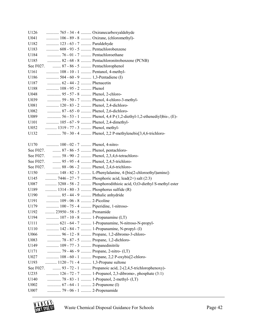| U126      |                                                  | 765 - 34 - 4  Oxiranecarboxyaldehyde                              |
|-----------|--------------------------------------------------|-------------------------------------------------------------------|
| U041      |                                                  | 106 - 89 - 8  Oxirane, (chloromethyl)-                            |
| U182      | 123 - 63 - 7  Paraldehyde                        |                                                                   |
| U183      | 608 - 93 - 5  Pentachlorobenzene                 |                                                                   |
| U184      | 76 - 01 - 7  Pentachloroethane                   |                                                                   |
| U185      |                                                  | 82 - 68 - 8  Pentachloronitrobenzene (PCNB)                       |
|           | See F027.  87 - 86 - 5  Pentachlorophenol        |                                                                   |
| U161      | 108 - 10 - 1  Pentanol, 4-methyl-                |                                                                   |
| U186      | 504 - 60 - 9  1,3-Pentadiene (I)                 |                                                                   |
| U187      | 62 - 44 - 2  Phenacetin                          |                                                                   |
| U188      | 108 - 95 - 2  Phenol                             |                                                                   |
| U048      | 95 - 57 - 8  Phenol, 2-chloro-                   |                                                                   |
| U039      |                                                  | 59 - 50 - 7  Phenol, 4-chloro-3-methyl-                           |
| U081      | 120 - 83 - 2  Phenol, 2,4-dichloro-              |                                                                   |
| U082      | 87 - 65 - 0  Phenol, 2,6-dichloro-               |                                                                   |
| U089      |                                                  | 56 - 53 - 1  Phenol, 4,4 P-(1,2-diethyl-1,2-ethenediyl)bis-, (E)- |
| U101      | 105 - 67 - 9  Phenol, 2,4-dimethyl-              |                                                                   |
| U052      | 1319 - 77 - 3  Phenol, methyl-                   |                                                                   |
| U132      |                                                  |                                                                   |
|           |                                                  |                                                                   |
| U170      | 100 - 02 - 7  Phenol, 4-nitro-                   |                                                                   |
|           | See F027.  87 - 86 - 5  Phenol, pentachloro-     |                                                                   |
|           |                                                  | See F027.  58 - 90 - 2  Phenol, 2,3,4,6-tetrachloro-              |
|           | See F027.  95 - 95 - 4  Phenol, 2,4,5-trichloro- |                                                                   |
|           | See F027.  88 - 06 - 2  Phenol, 2,4,6-trichloro- |                                                                   |
| U150      |                                                  | 148 - 82 - 3  L-Phenylalanine, 4-[bis(2-chloroethyl)amino]-       |
| U145      |                                                  | 7446 - 27 - 7  Phosphoric acid, lead(2+) salt (2:3)               |
| U087      |                                                  | 3288 - 58 - 2  Phosphorodithioic acid, O,O-diethyl S-methyl ester |
| U189      | 1314 - 80 - 3  Phosphorus sulfide (R)            |                                                                   |
| U190      | 85 - 44 - 9  Phthalic anhydride                  |                                                                   |
| U191      | 109 - 06 - 8  2-Picoline                         |                                                                   |
| U179      | 100 - 75 - 4  Piperidine, 1-nitroso-             |                                                                   |
| U192      | 23950 - 58 - 5  Pronamide                        |                                                                   |
| U194      | 107 - 10 - 8  1-Propanamine (I,T)                |                                                                   |
| U111      |                                                  | 621 - 64 - 7  1-Propanamine, N-nitroso-N-propyl-                  |
| U110      |                                                  | 142 - 84 - 7  1-Propanamine, N-propyl- (I)                        |
| U066      |                                                  | 96 - 12 - 8  Propane, 1,2-dibromo-3-chloro-                       |
| U083      | 78 - 87 - 5  Propane, 1,2-dichloro-              |                                                                   |
| U149      | 109 - 77 - 3  Propanedinitrile                   |                                                                   |
| U171      |                                                  |                                                                   |
| U027      |                                                  | 108 - 60 - 1  Propane, 2,2 P-oxybis[2-chloro-                     |
| U193      | 1120 - 71 - 4  1,3-Propane sultone               |                                                                   |
| See F027. |                                                  | 93 - 72 - 1  Propanoic acid, 2-(2,4,5-trichlorophenoxy)-          |
| U235      |                                                  | 126 - 72 - 7  1-Propanol, 2,3-dibromo-, phosphate (3:1)           |
| U140      |                                                  | 78 - 83 - 1  1-Propanol, 2-methyl- (I,T)                          |
| U002      | 67 - 64 - 1  2-Propanone (I)                     |                                                                   |
| U007      | 79 - 06 - 1  2-Propenamide                       |                                                                   |
|           |                                                  |                                                                   |

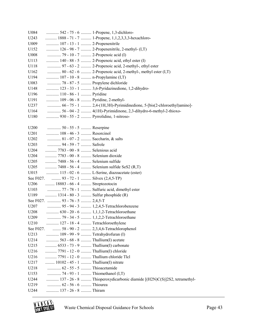| U084              |                                           | 542 - 75 - 6  1-Propene, 1,3-dichloro-                                  |
|-------------------|-------------------------------------------|-------------------------------------------------------------------------|
| U243              |                                           | 1888 - 71 - 7  1-Propene, 1,1,2,3,3,3-hexachloro-                       |
| U009              | 107 - 13 - 1  2-Propenenitrile            |                                                                         |
| U152              |                                           | 126 - 98 - 7  2-Propenenitrile, 2-methyl- (I,T)                         |
| U008              | 79 - 10 - 7  2-Propenoic acid (I)         |                                                                         |
| U113              |                                           | 140 - 88 - 5  2-Propenoic acid, ethyl ester (I)                         |
| U118              |                                           | 97 - 63 - 2  2-Propenoic acid, 2-methyl-, ethyl ester                   |
| U162              |                                           | 80 - 62 - 6  2-Propenoic acid, 2-methyl-, methyl ester $(I, T)$         |
| U194              | 107 - 10 - 8  n-Propylamine (I,T)         |                                                                         |
| U083              | 78 - 87 - 5  Propylene dichloride         |                                                                         |
| U148              |                                           | 123 - 33 - 1  3,6-Pyridazinedione, 1,2-dihydro-                         |
| U196              | 110 - 86 - 1  Pyridine                    |                                                                         |
| U191              | 109 - 06 - 8  Pyridine, 2-methyl-         |                                                                         |
| U237              |                                           | 66 - 75 - 1  2,4-(1H,3H)-Pyrimidinedione, 5-[bis(2-chloroethyl)amino]-  |
| U164              |                                           | 56 - 04 - 2  4(1H)-Pyrimidinone, 2,3-dihydro-6-methyl-2-thioxo-         |
| U180              | 930 - 55 - 2  Pyrrolidine, 1-nitroso-     |                                                                         |
|                   |                                           |                                                                         |
| U <sub>200</sub>  | 50 - 55 - 5  Reserpine                    |                                                                         |
| U201              | 108 - 46 - 3  Resorcinol                  |                                                                         |
| U202              | 81 - 07 - 2  Saccharin, & salts           |                                                                         |
| U203              | 94 - 59 - 7  Safrole                      |                                                                         |
| U204              | 7783 - 00 - 8  Selenious acid             |                                                                         |
| U204              | 7783 - 00 - 8  Selenium dioxide           |                                                                         |
| U205              | 7488 - 56 - 4  Selenium sulfide           |                                                                         |
| U <sub>2</sub> 05 |                                           | 7488 - 56 - 4  Selenium sulfide SeS2 (R,T)                              |
| U015              |                                           | 115 - 02 - 6  L-Serine, diazoacetate (ester)                            |
|                   | See F027.  93 - 72 - 1  Silvex (2,4,5-TP) |                                                                         |
| U206              | 18883 - 66 - 4  Streptozotocin            |                                                                         |
| U103              |                                           | 77 - 78 - 1  Sulfuric acid, dimethyl ester                              |
| U189              | 1314 - 80 - 3  Sulfur phosphide (R)       |                                                                         |
|                   | See F027.  93 - 76 - 5  2,4,5-T           |                                                                         |
| U207              |                                           | 95 - 94 - 3  1,2,4,5-Tetrachlorobenzene                                 |
| U208              |                                           | 630 - 20 - 6  1,1,1,2-Tetrachloroethane                                 |
| U209              |                                           | 79 - 34 - 5  1,1,2,2-Tetrachloroethane                                  |
| U210              | 127 - 18 - 4  Tetrachloroethylene         |                                                                         |
|                   |                                           | See F027.  58 - 90 - 2  2,3,4,6-Tetrachlorophenol                       |
| U213              | 109 - 99 - 9  Tetrahydrofuran (I)         |                                                                         |
| U214              | 563 - 68 - 8  Thallium(I) acetate         |                                                                         |
| U215              | 6533 - 73 - 9  Thallium(I) carbonate      |                                                                         |
| U216              | 7791 - 12 - 0  Thallium(I) chloride       |                                                                         |
| U216              | 7791 - 12 - 0  Thallium chloride Tlcl     |                                                                         |
| U217              | 10102 - 45 - 1  Thallium(I) nitrate       |                                                                         |
| U218              | 62 - 55 - 5  Thioacetamide                |                                                                         |
| U153              | 74 - 93 - 1  Thiomethanol (I,T)           |                                                                         |
| U244              |                                           | 137 - 26 - 8  Thioperoxydicarbonic diamide [(H2N)C(S)]2S2, tetramethyl- |
| U219              | 62 - 56 - 6  Thiourea                     |                                                                         |
| U244              | 137 - 26 - 8  Thiram                      |                                                                         |